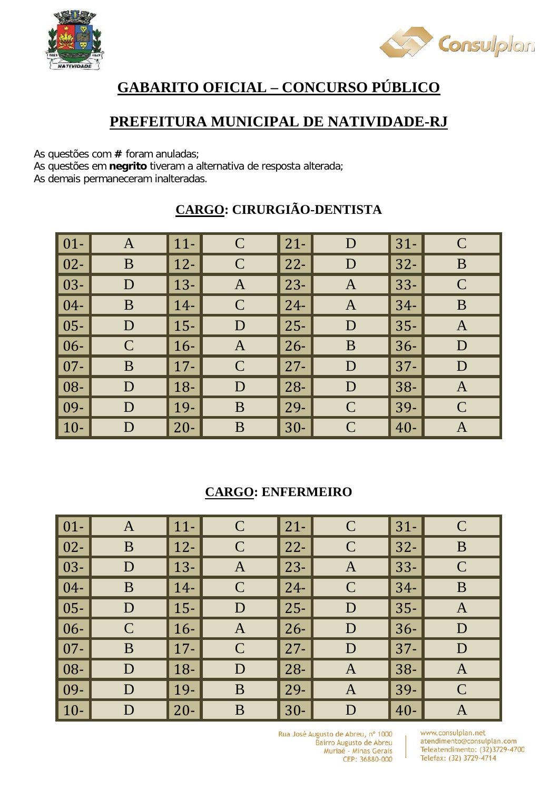



# **GABARITO OFICIAL – CONCURSO PÚBLICO**

### **PREFEITURA MUNICIPAL DE NATIVIDADE-RJ**

As questões com **#** foram anuladas;

As questões em **negrito** tiveram a alternativa de resposta alterada;

As demais permaneceram inalteradas.

| $\vert 01 -$ | A             | $\vert$ 11-  | $\mathcal{C}$ | $\vert$ 21- | D             | $31 -$ | $\mathcal{C}$ |
|--------------|---------------|--------------|---------------|-------------|---------------|--------|---------------|
| $\vert$ 02-  | B             | $\vert$ 12-  | $\mathbf C$   | $22 -$      | D             | $32 -$ | B             |
| $\vert$ 03-  | D             | $\vert$ 13-  | $\mathbf{A}$  | $23 -$      | $\mathbf{A}$  | $33 -$ | $\mathcal{C}$ |
| $\vert 04-$  | B             | $14-$        | $\mathcal{C}$ | $\vert$ 24- | $\mathbf{A}$  | $34-$  | B             |
| $\vert$ 05-  | D             | $15 -$       | D             | $25 -$      | D             | $35 -$ | $\mathbf{A}$  |
| $\vert 06 -$ | $\mathcal{C}$ | $\vert 16 -$ | $\mathbf{A}$  | $26 -$      | B             | $36-$  | D             |
| $\vert$ 07-  | B             | $\vert$ 17-  | $\mathcal{C}$ | $27 -$      | D             | $37 -$ | D             |
| $\vert$ 08-  | D             | $18-$        | D             | $28 -$      | D             | $38 -$ | $\mathbf{A}$  |
| $\vert$ 09-  | D             | $ 19-$       | B             | $\vert$ 29- | $\mathcal{C}$ | $39-$  | $\mathbf C$   |
| $\vert$ 10-  | D             | $\vert$ 20-  | B             | $30 -$      | $\mathsf{C}$  | $40 -$ | $\mathbf{A}$  |

### **CARGO: CIRURGIÃO-DENTISTA**

#### **CARGO: ENFERMEIRO**

| $\boxed{01}$ | A           | $ 11-$      | $\mathsf{C}$  | $21 -$ | $\mathbf C$   | $31 -$ | $\mathcal C$ |
|--------------|-------------|-------------|---------------|--------|---------------|--------|--------------|
| $\vert$ 02-  | B           | $\vert$ 12- | $\mathcal{C}$ | $22 -$ | $\mathcal{C}$ | $32 -$ | B            |
| $\vert$ 03-  | D           | $13 -$      | $\mathbf{A}$  | $23 -$ | $\mathbf{A}$  | $33 -$ | $\mathbf C$  |
| $\vert 04-$  | B           | $14-$       | $\mathcal{C}$ | $24 -$ | $\mathsf{C}$  | $34-$  | B            |
| $\vert$ 05-  | D           | $\vert$ 15- | D             | $25 -$ | D             | $35 -$ | $\mathbf{A}$ |
| $ 06-$       | $\mathbf C$ | $16 -$      | $\mathbf{A}$  | $26 -$ | D             | $36 -$ | D            |
| $\vert$ 07-  | B           | $17 -$      | $\mathcal{C}$ | $27 -$ | D             | $37 -$ | D            |
| $\vert 08 -$ | D           | $18-$       | D             | $28 -$ | $\mathbf{A}$  | $38 -$ | $\mathbf{A}$ |
| $ 09-$       | D           | $\vert$ 19- | B             | 29-    | $\mathbf{A}$  | $39-$  | $\mathbf C$  |
| $\vert$ 10-  | D           | $20 -$      | B             | $30-$  | D             | $40 -$ | $\mathbf A$  |

Rua José Augusto de Abreu, nº 1000 Bairro Augusto de Abreu Muriaé - Minas Gerais CEP: 36880-000

www.consulplan.net atendimento@consulplan.com Teleatendimento: (32)3729-4700 Telefax: (32) 3729-4714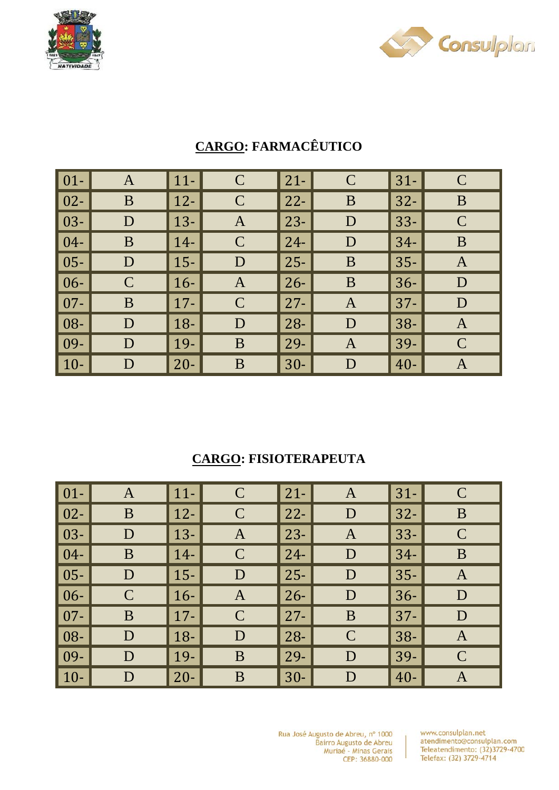



| $\vert 01 -$     | $\mathbf{A}$ | $11 -$      | $\mathbf C$   | $21 -$ | $\mathbf C$  | $31-$  | $\mathsf{C}$ |
|------------------|--------------|-------------|---------------|--------|--------------|--------|--------------|
| $\vert$ 02-      | B            | $12 -$      | $\mathbf C$   | $22 -$ | B            | $32 -$ | B            |
| $ 03-$           | D            | $13 -$      | A             | $23 -$ | D            | $33 -$ | $\mathbf C$  |
| $\vert 04-$      | B            | $14-$       | $\mathcal{C}$ | $24 -$ | D            | $34-$  | B            |
| $\vert$ 05-      | D            | $15-$       | D             | $25 -$ | B            | $35 -$ | $\mathbf{A}$ |
| $\vert 06 -$     | $\mathbf C$  | $16-$       | A             | $26 -$ | B            | $36-$  | D            |
| $\overline{107}$ | B            | $\vert$ 17- | $\mathcal{C}$ | $27 -$ | $\mathbf{A}$ | $37 -$ | D            |
| $\vert 08 -$     | D            | $18 -$      | D             | $28 -$ | D            | $38 -$ | A            |
| $\vert$ 09-      | D            | 19-         | B             | 29-    | A            | 39-    | $\mathbf C$  |
| $\vert$ 10-      | D            | $20 -$      | B             | $30-$  | D            | $40 -$ | $\mathbf{A}$ |

## **CARGO: FARMACÊUTICO**

### **CARGO: FISIOTERAPEUTA**

| $\vert$ 01- $\vert$ | $\mathbf{A}$ | $\vert$ 11- | $\mathcal{C}$ | $21 -$ | A             | $31-$  | $\mathsf{C}$ |
|---------------------|--------------|-------------|---------------|--------|---------------|--------|--------------|
| $\vert$ 02-         | B            | $\vert$ 12- | $\mathcal{C}$ | $22 -$ | D             | $32 -$ | B            |
| $\vert$ 03-         | D            | $13-$       | A             | $23 -$ | $\mathbf{A}$  | $33 -$ | $\mathbf C$  |
| $\vert 04-$         | B            | $14-$       | $\mathcal{C}$ | $24 -$ | D             | $34-$  | B            |
| $\vert$ 05-         | D            | $\vert$ 15- | D             | $25 -$ | D             | $35 -$ | A            |
| $\vert 06 -$        | $\mathsf{C}$ | $16-$       | $\mathbf{A}$  | $26 -$ | D             | $36 -$ | D            |
| $\vert$ 07-         | B            | $\vert$ 17- | $\mathcal{C}$ | $27 -$ | B             | 37-    | D            |
| $\vert 08 -$        | D            | $\vert$ 18- | D             | $28 -$ | $\mathcal{C}$ | $38-$  | A            |
| $\vert$ 09-         | D            | $\vert$ 19- | B             | 29-    | D             | $39-$  | $\mathbf C$  |
| $\vert$ 10-         | D            | $20 -$      | B             | $30-$  | D             | $40 -$ | A            |

Rua José Augusto de Abreu, nº 1000 Bairro Augusto de Abreu<br>Muriaé - Minas Gerais CEP: 36880-000

www.consulplan.net atendimento@consulplan.com Teleatendimento: (32)3729-4700 Telefax: (32) 3729-4714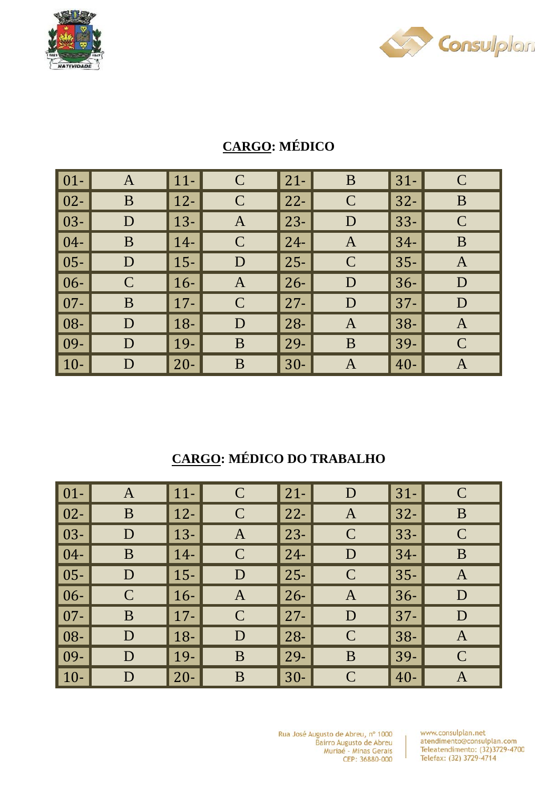



# **CARGO: MÉDICO**

| $\boxed{01}$     | A           | $11-$  | $\mathcal{C}$ | $21 -$ | B            | $31 -$ | $\mathsf{C}$ |
|------------------|-------------|--------|---------------|--------|--------------|--------|--------------|
| $\vert$ 02-      | B           | $12-$  | $\mathsf{C}$  | $22 -$ | $\mathsf{C}$ | $32 -$ | B            |
| $\vert$ 03-      | D           | $13 -$ | A             | $23 -$ | D            | $33 -$ | $\mathbf C$  |
| $\vert$ 04-      | B           | $14-$  | $\mathcal{C}$ | $24-$  | $\mathbf{A}$ | $34-$  | B            |
| $\vert$ 05-      | D           | $15 -$ | D             | $25 -$ | $\mathsf{C}$ | $35 -$ | A            |
| $\vert 06 -$     | $\mathbf C$ | $16-$  | $\mathbf{A}$  | $26 -$ | D            | $36 -$ | D            |
| $\overline{107}$ | B           | $17 -$ | $\mathcal{C}$ | $27 -$ | D            | $37 -$ | D            |
| $\vert$ 08-      | D           | $18-$  | D             | $28 -$ | A            | $38 -$ | $\mathbf{A}$ |
| $\vert$ 09-      | D           | 19-    | B             | $29-$  | B            | 39-    | $\mathbf C$  |
| $\vert$ 10-      | D           | $20 -$ | B             | $30-$  | A            | $40 -$ | A            |

# **CARGO: MÉDICO DO TRABALHO**

| $01 -$ | A           | $11-$  | $\mathcal{C}$ | $21 -$      | D             | $31 -$ | $\mathcal{C}$ |
|--------|-------------|--------|---------------|-------------|---------------|--------|---------------|
| $02 -$ | B           | $12-$  | $\mathcal{C}$ | $22 -$      | $\mathbf{A}$  | $32 -$ | B             |
| $03 -$ | D           | $13 -$ | A             | $23 -$      | $\mathsf{C}$  | $33 -$ | $\mathsf{C}$  |
| $04 -$ | B           | $14-$  | $\mathcal{C}$ | $\vert$ 24- | D             | $34-$  | B             |
| $05 -$ | D           | $15 -$ | D             | $\vert$ 25- | $\mathcal{C}$ | $35 -$ | A             |
| $06 -$ | $\mathbf C$ | $16-$  | $\mathbf A$   | $26 -$      | A             | $36-$  | D             |
| $07 -$ | B           | $17 -$ | $\mathcal{C}$ | $27 -$      | D             | $37 -$ | D             |
| 08-    | D           | $18-$  | D             | $28 -$      | $\mathcal{C}$ | $38-$  | A             |
| 09-    | D           | $19-$  | B             | $29-$       | B             | $39-$  | $\mathsf{C}$  |
| $10-$  | D           | $20 -$ | B             | $30-$       | $\mathcal C$  | $40 -$ | A             |

Rua José Augusto de Abreu, nº 1000 Bairro Augusto de Abreu<br>Muriaé - Minas Gerais CEP: 36880-000

www.consulplan.net atendimento@consulplan.com Teleatendimento: (32)3729-4700 Telefax: (32) 3729-4714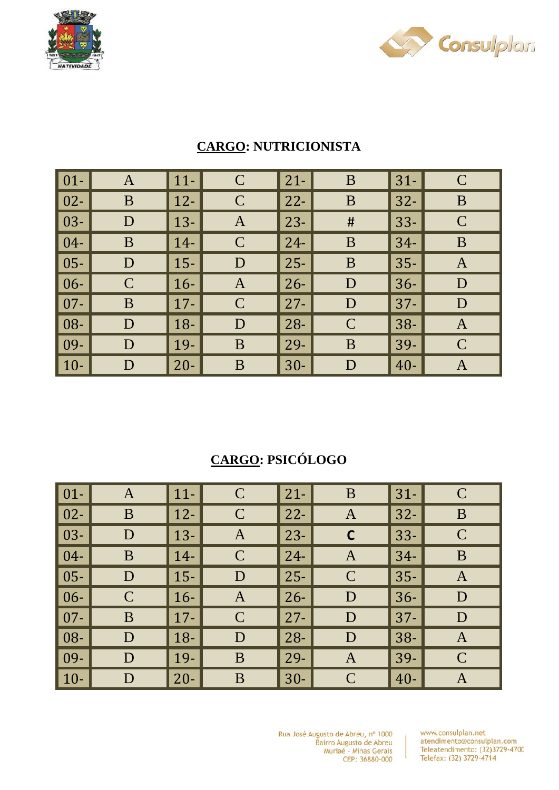



| $\vert 01 -$ | $\mathbf{A}$ | $11 -$ | $\mathbf C$   | $21 -$ | B            | $31-$  | $\mathsf{C}$ |
|--------------|--------------|--------|---------------|--------|--------------|--------|--------------|
| $\vert$ 02-  | B            | $12 -$ | $\mathsf{C}$  | $22 -$ | B            | $32 -$ | B            |
| $\vert$ 03-  | D            | $13 -$ | A             | $23 -$ | #            | $33 -$ | $\mathbf C$  |
| $\vert 04-$  | B            | $14-$  | $\mathcal{C}$ | $24 -$ | B            | $34-$  | B            |
| $\vert 05 -$ | D            | $15-$  | D             | $25 -$ | B            | $35 -$ | $\mathbf{A}$ |
| $\vert 06 -$ | $\mathsf{C}$ | $16-$  | A             | $26 -$ | D            | $36-$  | D            |
| $\vert$ 07-  | B            | $17 -$ | $\mathcal{C}$ | $27 -$ | D            | $37 -$ | D            |
| $\vert$ 08-  | D            | $18 -$ | D             | $28 -$ | $\mathsf{C}$ | $38 -$ | A            |
| $\vert$ 09-  | D            | 19-    | B             | 29-    | B            | 39-    | $\mathbf C$  |
| $\vert$ 10-  | D            | $20 -$ | B             | $30-$  | D            | $40 -$ | $\mathbf{A}$ |

#### **CARGO: NUTRICIONISTA**

# **CARGO: PSICÓLOGO**

| $\vert$ 01- $\vert$ | $\mathbf{A}$ | $\vert$ 11- | $\mathcal{C}$ | $21 -$ | B             | $31-$  | $\mathbf C$  |
|---------------------|--------------|-------------|---------------|--------|---------------|--------|--------------|
| $\vert$ 02-         | B            | $\vert$ 12- | $\mathcal{C}$ | $22 -$ | A             | $32 -$ | B            |
| $\vert$ 03-         | D            | $13 -$      | A             | $23 -$ | $\mathsf{C}$  | $33 -$ | $\mathbf C$  |
| $\vert$ 04-         | B            | $14-$       | $\mathcal{C}$ | $24 -$ | $\mathbf{A}$  | $34-$  | B            |
| $\vert$ 05-         | D            | $\vert$ 15- | D             | $25 -$ | $\mathcal{C}$ | $35 -$ | $\mathbf{A}$ |
| $\vert 06 -$        | $\mathbf C$  | $\vert$ 16- | $\mathbf{A}$  | $26 -$ | D             | $36 -$ | D            |
| $\vert$ 07-         | B            | $\vert$ 17- | $\mathcal{C}$ | $27 -$ | D             | $37 -$ | D            |
| $\vert$ 08-         | D            | $\vert$ 18- | D             | $28 -$ | D             | $38 -$ | A            |
| $\overline{109}$    | D            | $\vert$ 19- | B             | $29-$  | $\mathbf{A}$  | $39-$  | $\mathbf C$  |
| $\vert$ 10-         | D            | $20 -$      | B             | $30-$  | $\mathcal C$  | $40 -$ | A            |

Rua José Augusto de Abreu, nº 1000 Bairro Augusto de Abreu<br>Muriaé - Minas Gerais CEP: 36880-000

www.consulplan.net atendimento@consulplan.com<br>Teleatendimento: (32)3729-4700 Telefax: (32) 3729-4714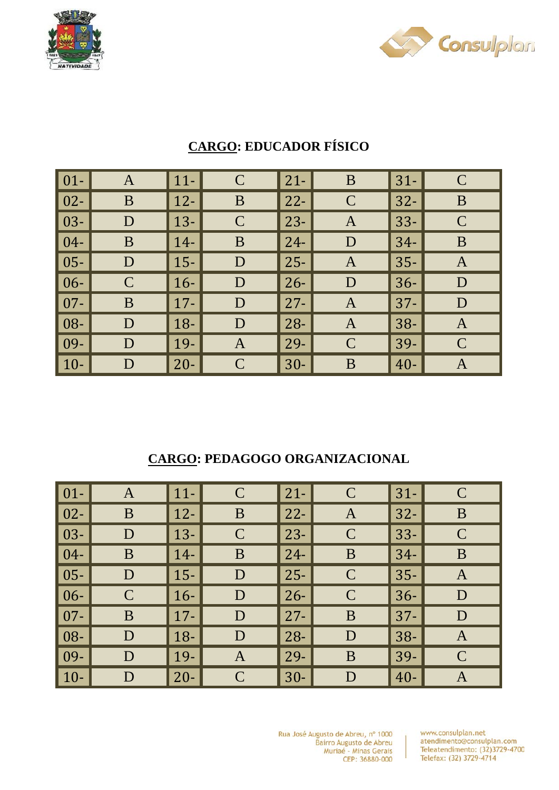



| $\vert 01 -$ | $\mathbf{A}$ | $11-$  | $\mathbf C$   | $21 -$ | B            | $31-$  | $\mathsf{C}$  |
|--------------|--------------|--------|---------------|--------|--------------|--------|---------------|
| $\vert$ 02-  | B            | $12 -$ | B             | $22 -$ | $\mathsf{C}$ | $32 -$ | B             |
| $\vert$ 03-  | D            | $13 -$ | $\mathcal{C}$ | $23 -$ | A            | $33 -$ | $\mathbf C$   |
| $\vert$ 04-  | B            | $14-$  | B             | $24-$  | D            | $34-$  | B             |
| $\vert$ 05-  | D            | $15-$  | D             | $25 -$ | $\mathbf{A}$ | $35 -$ | $\mathbf{A}$  |
| $\vert 06 -$ | $\mathbf C$  | $16-$  | D             | $26 -$ | D            | $36 -$ | D             |
| $\vert$ 07-  | B            | $17 -$ | D             | $27 -$ | $\mathbf{A}$ | $37 -$ | D             |
| $\vert$ 08-  | D            | $18-$  | D             | $28 -$ | $\mathbf{A}$ | $38 -$ | $\mathbf{A}$  |
| $\vert$ 09-  | D            | 19-    | $\mathbf{A}$  | 29-    | $\mathsf{C}$ | 39-    | $\mathcal{C}$ |
| $\vert$ 10-  | D            | $20 -$ | $\mathcal{C}$ | $30-$  | B            | $40 -$ | $\bm{A}$      |

# **CARGO: EDUCADOR FÍSICO**

### **CARGO: PEDAGOGO ORGANIZACIONAL**

| $\vert 01 - \vert$ | A           | $\vert$ 11- | $\mathcal{C}$ | $21 -$ | $\mathsf{C}$  | $31 -$ | $\mathsf{C}$ |
|--------------------|-------------|-------------|---------------|--------|---------------|--------|--------------|
| $\vert$ 02-        | B           | $\vert$ 12- | B             | $22 -$ | $\mathbf{A}$  | $32 -$ | B            |
| $\vert$ 03-        | D           | $13 -$      | $\mathcal{C}$ | $23 -$ | $\mathcal{C}$ | $33 -$ | $\mathbf C$  |
| $\vert 04-$        | B           | $14-$       | B             | $24 -$ | B             | $34-$  | B            |
| $\vert$ 05-        | D           | $\vert$ 15- | D             | $25 -$ | $\mathcal{C}$ | $35 -$ | A            |
| $\vert 06 -$       | $\mathbf C$ | $16-$       | D             | $26 -$ | $\mathsf{C}$  | $36-$  | D            |
| $\vert$ 07-        | B           | $\vert$ 17- | D             | $27 -$ | B             | $37 -$ | D            |
| $\vert 08 -$       | D           | $\vert$ 18- | D             | $28 -$ | D             | $38 -$ | A            |
| $\vert$ 09-        | D           | $\vert$ 19- | $\mathbf{A}$  | 29-    | B             | $39-$  | $\mathbf C$  |
| $\vert$ 10-        | D           | $20 -$      | $\mathcal{C}$ | $30-$  | D             | $40 -$ | A            |

Rua José Augusto de Abreu, nº 1000 Bairro Augusto de Abreu<br>Muriaé - Minas Gerais CEP: 36880-000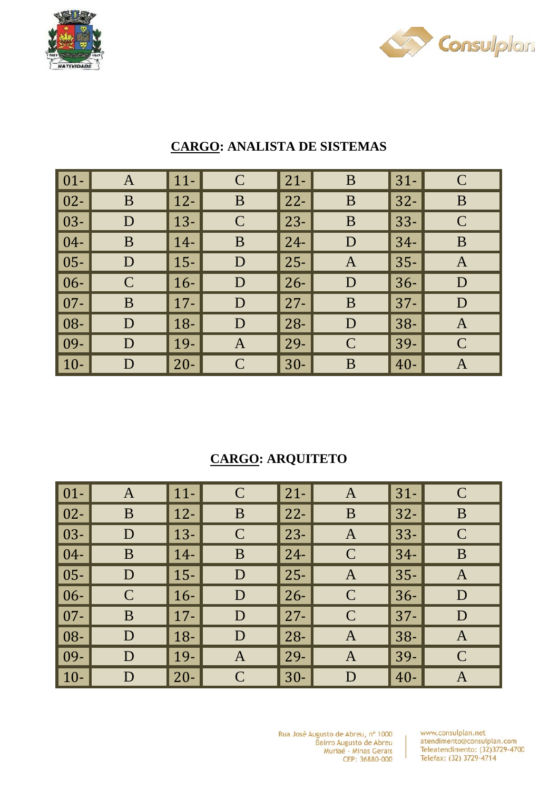



| $\vert$ 01- $\vert$ | A           | $11-$       | $\mathsf{C}$  | $21 -$ | B           | $31-$  | $\mathcal C$  |
|---------------------|-------------|-------------|---------------|--------|-------------|--------|---------------|
| $\vert$ 02-         | B           | $\vert$ 12- | B             | $22 -$ | B           | $32 -$ | B             |
| $\vert$ 03-         | D           | $\vert$ 13- | $\mathcal{C}$ | $23 -$ | B           | $33 -$ | $\mathcal{C}$ |
| $\vert$ 04-         | B           | $\vert$ 14- | B             | $24 -$ | D           | $34-$  | B             |
| $\vert$ 05-         | D           | $\vert$ 15- | D             | $25 -$ | A           | $35 -$ | A             |
| $\vert 06 -$        | $\mathbf C$ | $\vert$ 16- | D             | $26 -$ | D           | $36-$  | D             |
| $\vert$ 07-         | B           | $\vert$ 17- | D             | $27 -$ | B           | $37 -$ | D             |
| $\vert$ 08-         | D           | $\vert$ 18- | D             | $28 -$ | D           | $38-$  | $\mathbf{A}$  |
| $\vert$ 09-         | D           | $\vert$ 19- | A             | $29 -$ | $\mathbf C$ | 39-    | $\mathcal{C}$ |
| $\vert$ 10-         | D           | $\vert$ 20- | $\mathcal{C}$ | $30-$  | B           | $40 -$ | A             |

#### **CARGO: ANALISTA DE SISTEMAS**

### **CARGO: ARQUITETO**

| $01 -$ | $\mathbf{A}$ | $11-$  | $\mathcal{C}$ | $\vert$ 21-  | A             | $31 -$ | $\mathsf{C}$ |
|--------|--------------|--------|---------------|--------------|---------------|--------|--------------|
| $02 -$ | B            | $12 -$ | B             | $\vert$ 22-  | B             | $32 -$ | $\bf{B}$     |
| $03 -$ | D            | $13 -$ | $\mathcal{C}$ | $ 23-$       | A             | $33 -$ | $\mathbf C$  |
| $04 -$ | B            | $14-$  | B             | $\vert$ 24-  | $\mathcal{C}$ | $34-$  | B            |
| $05 -$ | D            | $15 -$ | D             | $\vert$ 25-  | A             | $35 -$ | A            |
| $06 -$ | $\mathbf C$  | $16-$  | D             | $\vert 26 -$ | $\mathcal{C}$ | $36-$  | D            |
| $07 -$ | B            | $17 -$ | D             | $\vert$ 27-  | $\mathcal{C}$ | $37 -$ | D            |
| 08-    | D            | $18-$  | D             | $\vert$ 28-  | A             | $38 -$ | A            |
| 09-    | D            | $19-$  | $\mathbf{A}$  | $\vert$ 29-  | $\bf{A}$      | 39-    | $\mathbf C$  |
| $10-$  | D            | $20 -$ | $\mathcal{C}$ | $\vert$ 30-  | D             | $40 -$ | A            |

Rua José Augusto de Abreu, nº 1000 Bairro Augusto de Abreu<br>Muriaé - Minas Gerais CEP: 36880-000

www.consulplan.net atendimento@consulplan.com Teleatendimento: (32)3729-4700 Telefax: (32) 3729-4714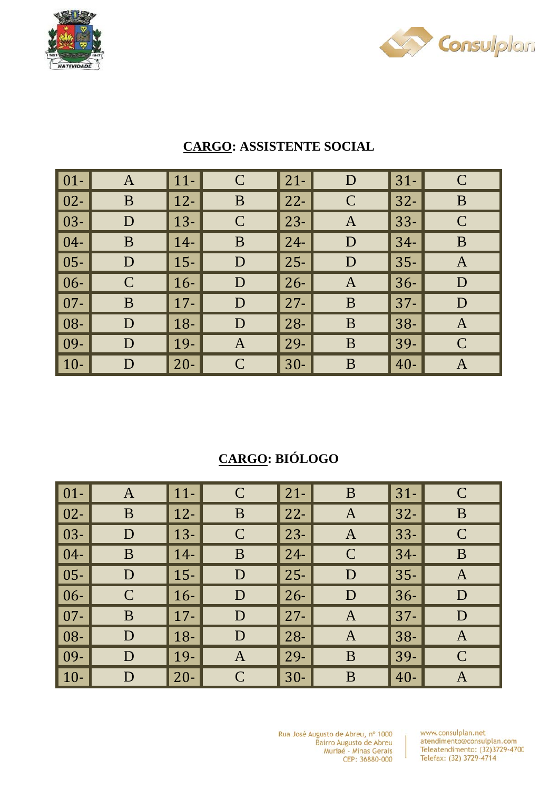



| $\vert 01 -$ | $\mathbf{A}$ | $11 -$      | $\mathbf C$   | $21 -$ | D            | $31-$  | $\mathcal{C}$ |
|--------------|--------------|-------------|---------------|--------|--------------|--------|---------------|
| $\boxed{02}$ | B            | $\vert$ 12- | B             | $22 -$ | $\mathsf{C}$ | $32 -$ | B             |
| $\vert$ 03-  | D            | $\vert$ 13- | $\mathcal{C}$ | $23 -$ | $\mathbf{A}$ | $33 -$ | $\mathsf{C}$  |
| $\vert 04-$  | B            | $14-$       | B             | $24 -$ | D            | $34-$  | B             |
| $\vert 05 -$ | D            | $15-$       | D             | $25 -$ | D            | $35 -$ | $\mathbf{A}$  |
| $\vert 06 -$ | $\mathsf{C}$ | $16-$       | D             | $26 -$ | A            | $36-$  | D             |
| $\vert 07 -$ | B            | $\vert$ 17- | D             | $27 -$ | B            | $37 -$ | D             |
| $\vert$ 08-  | D            | $18 -$      | D             | $28 -$ | B            | $38 -$ | $\mathbf{A}$  |
| $\vert$ 09-  | D            | $\vert$ 19- | A             | $29-$  | B            | 39-    | $\mathsf{C}$  |
| $ 10-$       | D            | $\vert$ 20- | $\mathcal{C}$ | $30-$  | B            | $40 -$ | $\mathbf{A}$  |

#### **CARGO: ASSISTENTE SOCIAL**

## **CARGO: BIÓLOGO**

| $ 01-$ | $\mathbf{A}$ | $\vert$ 11- | $\mathcal{C}$ | $21 -$ | B             | $31 -$     | $\mathsf{C}$ |
|--------|--------------|-------------|---------------|--------|---------------|------------|--------------|
| $02 -$ | B            | $\vert$ 12- | B             | $22 -$ | $\mathbf{A}$  | $32 -$     | B            |
| $03 -$ | D            | $\vert$ 13- | $\mathbf C$   | $23 -$ | $\mathbf{A}$  | 33-        | $\mathbf C$  |
| $04 -$ | B            | $14-$       | B             | $24 -$ | $\mathcal{C}$ | 34-        | B            |
| $05 -$ | D            | $15 -$      | D             | $25 -$ | D             | $35 -$     | $\mathbf{A}$ |
| $06 -$ | $\mathbf C$  | $16-$       | D             | $26 -$ | D             | $36 -$     | D            |
| $07 -$ | B            | $\vert$ 17- | D             | $27 -$ | A             | 37-        | D            |
| 08-    | D            | $18-$       | D             | $28 -$ | A             | $38-$      | A            |
| 09-    | D            | $\vert$ 19- | $\mathbf{A}$  | $29 -$ | B             | $139-$     | $\mathbf C$  |
| $10-$  | D            | $20 -$      | $\mathcal{C}$ | $30-$  | B             | $\mid 40-$ | A            |

Rua José Augusto de Abreu, nº 1000 Bairro Augusto de Abreu<br>Muriaé - Minas Gerais CEP: 36880-000

www.consulplan.net atendimento@consulplan.com<br>Teleatendimento: (32)3729-4700 Telefax: (32) 3729-4714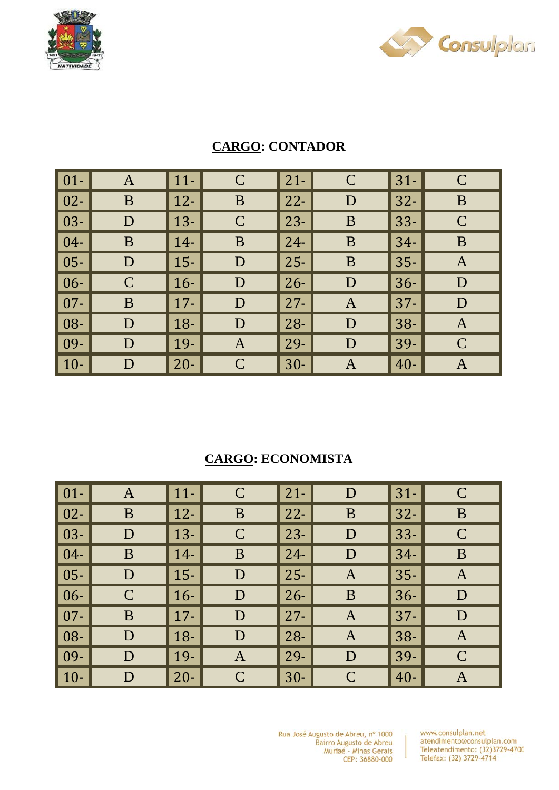



| $\vert 01 -$        | $\mathbf{A}$ | $11-$       | $\mathbf C$       | $21 -$ | $\mathbf C$  | $31-$  | $\mathbf C$  |
|---------------------|--------------|-------------|-------------------|--------|--------------|--------|--------------|
| $\vert$ 02-         | B            | $12-$       | B                 | $22 -$ | D            | $32 -$ | B            |
| $\vert$ 03- $\vert$ | D            | $13 -$      | $\mathcal{C}$     | $23 -$ | B            | $33 -$ | $\mathbf C$  |
| $\vert 04-$         | B            | $14-$       | B                 | $24 -$ | B            | $34-$  | B            |
| $\vert$ 05-         | D            | $15-$       | D                 | $25 -$ | B            | $35 -$ | $\mathbf{A}$ |
| $\vert 06 -$        | $\mathsf{C}$ | $16-$       | D                 | $26 -$ | D            | $36-$  | D            |
| $\vert$ 07-         | B            | $\vert$ 17- | D                 | $27 -$ | $\mathbf{A}$ | $37 -$ | D            |
| $\vert$ 08-         | D            | $18-$       | D                 | $28 -$ | D            | $38 -$ | $\mathbf{A}$ |
| $\vert$ 09-         | D            | 19-         | $\bm{\mathsf{A}}$ | $29-$  | D            | 39-    | $\mathbf C$  |
| $\vert$ 10-         | D            | $20 -$      | C                 | $30-$  | A            | $40 -$ | $\mathbf{A}$ |

#### **CARGO: CONTADOR**

### **CARGO: ECONOMISTA**

| $01 -$ | A            | $11-$  | $\mathcal{C}$ | $\vert$ 21- | D             | $31-$  | $\mathsf{C}$ |
|--------|--------------|--------|---------------|-------------|---------------|--------|--------------|
| $02 -$ | B            | $12-$  | B             | $\vert$ 22- | B             | $32 -$ | $\bf{B}$     |
| $03 -$ | $\mathbf D$  | $13 -$ | $\mathsf{C}$  | $ 23-$      | D             | $33 -$ | $\mathbf C$  |
| $04 -$ | B            | $14-$  | B             | $\vert$ 24- | D             | $34-$  | $\bf{B}$     |
| $05 -$ | D            | $15-$  | D             | $\vert$ 25- | A             | $35 -$ | A            |
| $06 -$ | $\mathsf{C}$ | $16-$  | D             | $\vert$ 26- | B             | $36 -$ | D            |
| $07 -$ | B            | $17 -$ | D             | $\vert$ 27- | $\mathbf{A}$  | $37 -$ | D            |
| 08-    | D            | $18-$  | D             | $\vert$ 28- | A             | $38 -$ | A            |
| 09-    | D            | 19-    | $\mathbf{A}$  | $\vert$ 29- | D             | 39-    | $\mathbf C$  |
| $10-$  | D            | $20 -$ | $\mathcal{C}$ | $\vert$ 30- | $\mathcal{C}$ | $40 -$ | A            |

Rua José Augusto de Abreu, nº 1000 Bairro Augusto de Abreu<br>Muriaé - Minas Gerais CEP: 36880-000

www.consulplan.net atendimento@consulplan.com<br>Teleatendimento: (32)3729-4700 Telefax: (32) 3729-4714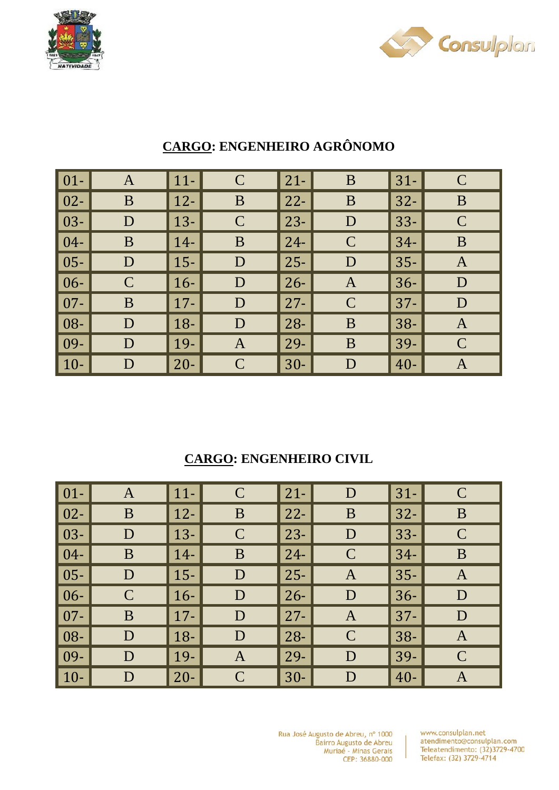



| $\vert$ 01- $\vert$ | A            | $ 11-$      | $\mathcal{C}$ | $21 -$ | B             | $31 -$ | $\mathbf C$  |
|---------------------|--------------|-------------|---------------|--------|---------------|--------|--------------|
| $\vert$ 02-         | B            | $ 12-$      | B             | $22 -$ | $\bf{B}$      | $32 -$ | B            |
| $\vert$ 03-         | D            | $\vert$ 13- | $\mathcal{C}$ | $23 -$ | D             | $33 -$ | $\mathbf C$  |
| $\vert 04-$         | B            | $14-$       | B             | $24 -$ | $\mathcal{C}$ | $34-$  | B            |
| $\vert$ 05-         | D            | $15 -$      | D             | $25 -$ | D             | $35 -$ | $\mathbf{A}$ |
| $\vert 06 -$        | $\mathsf{C}$ | $16-$       | D             | $26 -$ | $\mathbf{A}$  | $36-$  | D            |
| $\vert$ 07-         | B            | $\vert$ 17- | D             | $27 -$ | $\mathcal{C}$ | $37 -$ | D            |
| $\vert$ 08-         | D            | $18-$       | D             | $28 -$ | B             | $38 -$ | A            |
| $\vert$ 09-         | D            | $19-$       | $\mathbf{A}$  | $29-$  | B             | 39-    | $\mathsf{C}$ |
| $\vert$ 10-         | D            | $20 -$      | $\mathcal{C}$ | $30-$  | D             | $40 -$ | A            |

## **CARGO: ENGENHEIRO AGRÔNOMO**

### **CARGO: ENGENHEIRO CIVIL**

| $ 01-$                     | $\mathbf{A}$ | $\vert$ 11- | $\mathcal{C}$ | $21 -$ | D             | $31-$  | $\mathsf{C}$ |
|----------------------------|--------------|-------------|---------------|--------|---------------|--------|--------------|
| $\vert$ 02-                | B            | $12 -$      | B             | $22 -$ | B             | $32 -$ | B            |
| $\vert$ 03-                | D            | $13 -$      | $\mathsf{C}$  | $23 -$ | D             | $33 -$ | $\mathbf C$  |
| $\vert 04-$                | B            | $14-$       | B             | $24 -$ | $\mathcal{C}$ | $34-$  | B            |
| $\vert$ 05-                | D            | $15 -$      | D             | $25 -$ | A             | $35 -$ | A            |
| $\vert 06 -$               | $\mathbf C$  | $16-$       | D             | $26 -$ | D             | $36-$  | D            |
| $\vert$ 07-                | B            | $\vert$ 17- | D             | $27 -$ | A             | $37 -$ | D            |
| $\overline{\phantom{1}08}$ | D            | $18-$       | D             | $28 -$ | $\mathcal{C}$ | $38 -$ | A            |
| $\vert$ 09-                | D            | $\vert$ 19- | $\mathbf{A}$  | 29-    | D             | 39-    | $\mathbf C$  |
| $\vert$ 10-                | D            | $20 -$      | $\mathcal{C}$ | $30-$  | D             | $40 -$ | A            |

Rua José Augusto de Abreu, nº 1000 Bairro Augusto de Abreu<br>Muriaé - Minas Gerais CEP: 36880-000

www.consulplan.net atendimento@consulplan.com Teleatendimento: (32)3729-4700 Telefax: (32) 3729-4714

 $\mathbf{I}$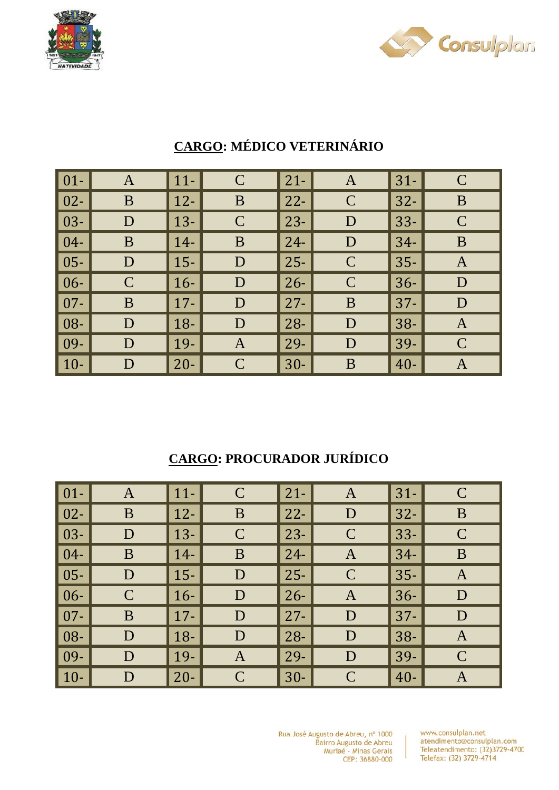



| $\vert$ 01- $\vert$ | A            | $ 11-$      | $\mathcal{C}$ | $21 -$ | $\mathbf{A}$  | $31 -$ | $\mathbf C$  |
|---------------------|--------------|-------------|---------------|--------|---------------|--------|--------------|
| $\vert$ 02-         | B            | $ 12-$      | B             | $22 -$ | $\mathbf C$   | $32 -$ | B            |
| $\vert$ 03-         | D            | $\vert$ 13- | $\mathcal{C}$ | $23 -$ | D             | $33 -$ | $\mathbf C$  |
| $\vert 04-$         | B            | $14-$       | B             | $24 -$ | D             | $34-$  | B            |
| $\vert$ 05-         | D            | $15 -$      | D             | $25 -$ | $\mathcal{C}$ | $35 -$ | $\mathbf{A}$ |
| $\vert 06 -$        | $\mathsf{C}$ | $16-$       | D             | $26 -$ | $\mathbf C$   | $36-$  | D            |
| $\vert$ 07-         | B            | $\vert$ 17- | D             | $27 -$ | B             | $37 -$ | D            |
| $\vert$ 08-         | D            | $18-$       | D             | $28 -$ | D             | $38 -$ | A            |
| $\vert$ 09-         | D            | $19-$       | $\mathbf{A}$  | $29-$  | D             | 39-    | $\mathsf{C}$ |
| $\vert$ 10-         | D            | $20 -$      | $\mathcal{C}$ | $30-$  | B             | $40 -$ | A            |

# **CARGO: MÉDICO VETERINÁRIO**

## **CARGO: PROCURADOR JURÍDICO**

| $\vert$ 01-         | A           | $\vert$ 11- | $\mathcal{C}$ | $21 -$ | A             | $31-$  | $\mathsf{C}$ |
|---------------------|-------------|-------------|---------------|--------|---------------|--------|--------------|
| $\vert$ 02-         | B           | $\vert$ 12- | B             | $22 -$ | D             | $32 -$ | B            |
| $\vert$ 03-         | D           | $13-$       | $\mathcal{C}$ | $23 -$ | $\mathsf{C}$  | $33 -$ | $\mathsf{C}$ |
| $\vert 04-$         | B           | $14-$       | B             | $24 -$ | A             | $34-$  | B            |
| $\vert$ 05-         | D           | $15 -$      | D             | $25 -$ | $\mathcal{C}$ | $35 -$ | A            |
| $\vert 06 -$        | $\mathbf C$ | $\vert$ 16- | D             | $26 -$ | $\mathbf{A}$  | $36 -$ | D            |
| $\vert$ 07-         | B           | $17 -$      | D             | $27 -$ | D             | $37 -$ | D            |
| $\vert$ 08- $\vert$ | D           | $\vert$ 18- | D             | $28 -$ | D             | $38 -$ | A            |
| $\vert$ 09-         | D           | $\vert$ 19- | $\mathbf{A}$  | 29-    | D             | 39-    | $\mathbf C$  |
| $\vert$ 10-         | D           | $20 -$      | $\mathcal{C}$ | $30-$  | $\mathcal{C}$ | $40 -$ | A            |

Rua José Augusto de Abreu, nº 1000<br>Bairro Augusto de Abreu Bairro Augusto de Abreu<br>Muriaé - Minas Gerais CEP: 36880-000

www.consulplan.net atendimento@consulplan.com Teleatendimento: (32)3729-4700 Telefax: (32) 3729-4714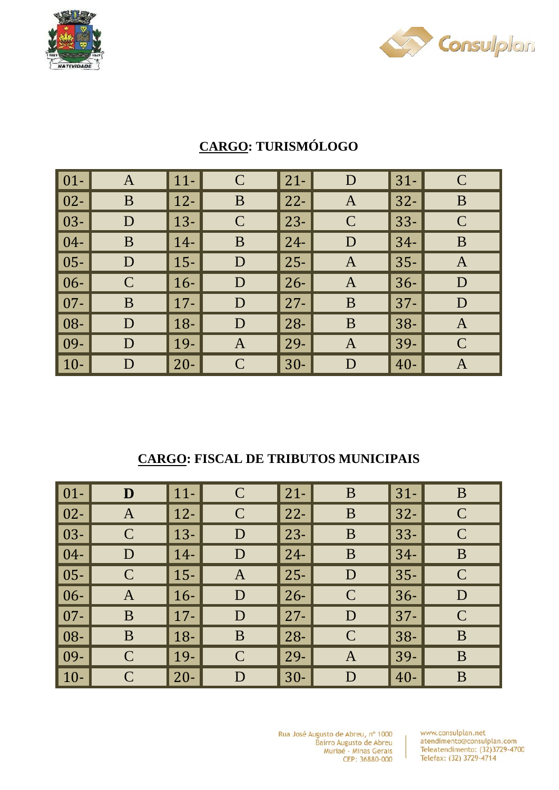



| $\vert 01 -$ | $\mathbf{A}$ | $11-$       | $\mathbf C$   | $21 -$ | D             | $31-$  | $\mathbf C$  |
|--------------|--------------|-------------|---------------|--------|---------------|--------|--------------|
| $\vert 02 -$ | B            | $ 12-$      | B             | $22 -$ | A             | $32-$  | B            |
| $\vert$ 03-  | D            | $\vert$ 13- | $\mathcal{C}$ | $23 -$ | $\mathcal{C}$ | $33 -$ | $\mathbf C$  |
| $\vert 04-$  | B            | $\vert$ 14- | B             | $24 -$ | D             | $34-$  | B            |
| $\vert 05 -$ | D            | $\vert$ 15- | D             | $25 -$ | $\mathbf{A}$  | $35 -$ | $\mathbf{A}$ |
| $\vert 06 -$ | $\mathbf C$  | $16-$       | D             | $26 -$ | $\mathbf{A}$  | $36 -$ | D            |
| $\vert 07 -$ | B            | $\vert$ 17- | D             | $27 -$ | B             | $37 -$ | D            |
| $\vert$ 08-  | D            | $18-$       | D             | $28 -$ | B             | $38 -$ | A            |
| $\vert$ 09-  | D            | $\vert$ 19- | $\mathbf{A}$  | 29-    | A             | 39-    | $\mathsf{C}$ |
| $\vert$ 10-  | D            | $20 -$      | $\mathcal{C}$ | $30-$  | D             | $40 -$ | $\bm{A}$     |

## **CARGO: TURISMÓLOGO**

#### **CARGO: FISCAL DE TRIBUTOS MUNICIPAIS**

| $\vert$ 01-  | D            | $\vert$ 11- | $\mathcal{C}$ | $21 -$ | B             | $31-$  | B            |
|--------------|--------------|-------------|---------------|--------|---------------|--------|--------------|
| $\vert$ 02-  | $\mathbf{A}$ | $12 -$      | $\mathcal{C}$ | $22 -$ | B             | $32 -$ | $\mathbf C$  |
| $\vert$ 03-  | $\mathbf C$  | $\vert$ 13- | D             | $23 -$ | B             | $33 -$ | $\mathsf{C}$ |
| $\vert 04-$  | D            | $14-$       | D             | $24 -$ | B             | $34-$  | B            |
| $\vert$ 05-  | $\mathsf{C}$ | $\vert$ 15- | $\mathbf{A}$  | $25 -$ | D             | $35 -$ | $\mathsf{C}$ |
| $\vert 06 -$ | A            | $16-$       | D             | $26 -$ | $\mathcal{C}$ | $36 -$ | D            |
| $\vert$ 07-  | B            | $17 -$      | D             | $27 -$ | D             | $37 -$ | $\mathbf C$  |
| $\vert$ 08-  | B            | $18-$       | B             | $28 -$ | $\mathcal{C}$ | $38 -$ | B            |
| $ 09-$       | $\mathbf C$  | $\vert$ 19- | $\mathcal{C}$ | 29-    | $\mathbf{A}$  | 39-    | B            |
| $\vert$ 10-  | $\mathbf C$  | $20 -$      | D             | $30-$  | D             | $40 -$ | B            |

Rua José Augusto de Abreu, nº 1000 Bairro Augusto de Abreu<br>Muriaé - Minas Gerais CEP: 36880-000

 $\mathbf{I}$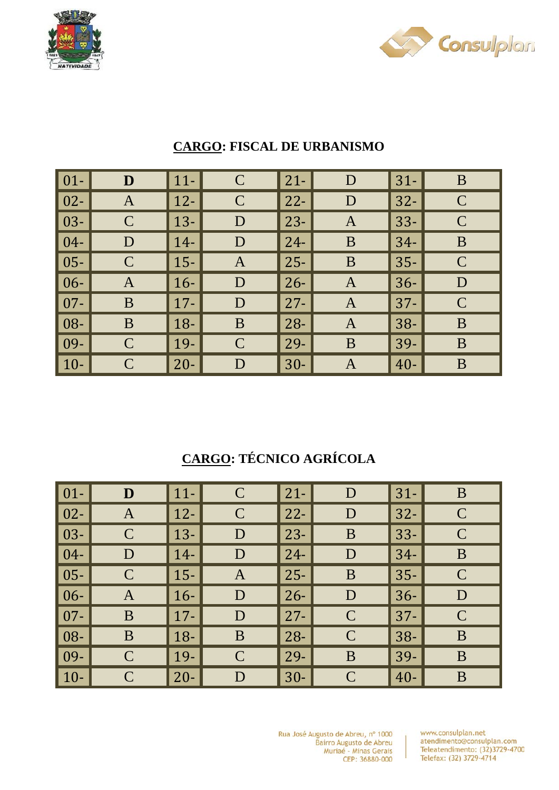



| $\vert 01 -$ | D            | $\vert$ 11- | $\mathsf{C}$ | $21 -$ | D            | $31-$  | B            |
|--------------|--------------|-------------|--------------|--------|--------------|--------|--------------|
| $\vert 02 -$ | $\mathbf{A}$ | $\vert$ 12- | $\mathbf C$  | $22 -$ | D            | $32 -$ | $\mathsf{C}$ |
| $\vert$ 03-  | $\mathbf C$  | $13 -$      | D            | $23 -$ | $\mathbf{A}$ | $33 -$ | $\mathbf C$  |
| $\vert 04-$  | D            | $14-$       | D            | $24 -$ | B            | $34-$  | B            |
| $\vert$ 05-  | $\mathbf C$  | $15 -$      | $\mathbf{A}$ | $25 -$ | B            | $35 -$ | $\mathbf C$  |
| $\vert 06 -$ | A            | $16-$       | D            | $26 -$ | A            | $36 -$ | D            |
| $\vert$ 07-  | B            | $\vert$ 17- | D            | $27 -$ | $\mathbf{A}$ | $ 37-$ | $\mathsf{C}$ |
| $\vert 08 -$ | B            | $18-$       | B            | $28 -$ | $\mathbf{A}$ | $38 -$ | B            |
| $\vert$ 09-  | $\mathsf C$  | $\vert$ 19- | $\mathsf{C}$ | $29-$  | B            | 39-    | B            |
| $\vert$ 10-  | $\mathsf{C}$ | $20 -$      | D            | $30-$  | A            | $40 -$ | B            |

### **CARGO: FISCAL DE URBANISMO**

# **CARGO: TÉCNICO AGRÍCOLA**

| $\vert$ 01-  | D            | $\vert$ 11- | $\mathcal{C}$ | $21 -$ | D             | $31 -$ | B            |
|--------------|--------------|-------------|---------------|--------|---------------|--------|--------------|
| $\vert$ 02-  | A            | $\vert$ 12- | $\mathcal{C}$ | $22 -$ | D             | $32 -$ | $\mathbf C$  |
| $\vert$ 03-  | $\mathbf C$  | $\vert$ 13- | D             | $23 -$ | B             | $33 -$ | $\mathsf{C}$ |
| $\vert 04-$  | D            | $14-$       | D             | $24 -$ | D             | $34-$  | B            |
| $\vert$ 05-  | $\mathsf{C}$ | $\vert$ 15- | $\mathbf{A}$  | $25 -$ | B             | $35 -$ | $\mathbf C$  |
| $\vert 06 -$ | $\mathbf{A}$ | $16-$       | D             | $26 -$ | D             | $36 -$ | D            |
| $\vert$ 07-  | B            | $\vert$ 17- | D             | $27 -$ | $\mathcal{C}$ | $ 37-$ | $\mathbf C$  |
| $\vert$ 08-  | B            | $\vert$ 18- | B             | $28 -$ | $\mathcal{C}$ | $38-$  | B            |
| $\vert$ 09-  | $\mathbf C$  | $\vert$ 19- | $\mathcal{C}$ | 29-    | B             | $39-$  | B            |
| $\vert$ 10-  | $\mathbf C$  | $20 -$      | D             | $30-$  | $\mathcal{C}$ | $40 -$ | B            |

Rua José Augusto de Abreu, nº 1000 Bairro Augusto de Abreu<br>Muriaé - Minas Gerais CEP: 36880-000

www.consulplan.net atendimento@consulplan.com Teleatendimento: (32)3729-4700 Telefax: (32) 3729-4714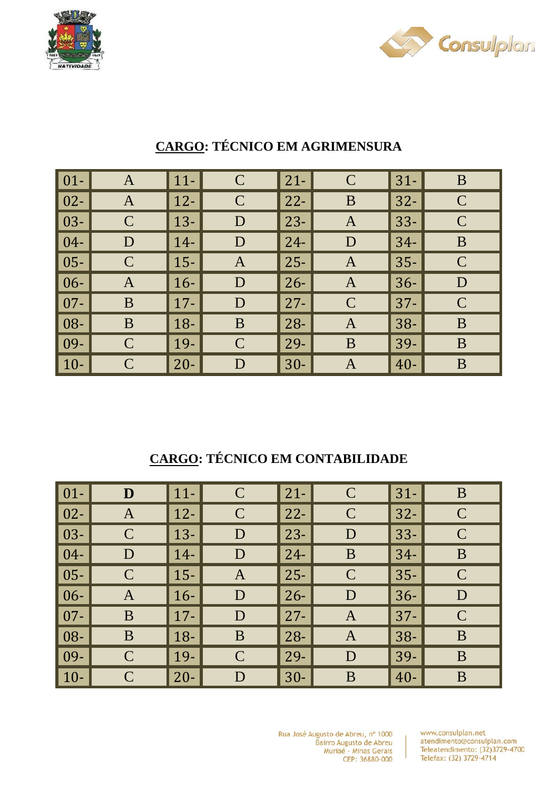



| $\boxed{01}$ | A            | $ 11-$      | $\mathsf{C}$ | $21 -$ | $\mathsf{C}$  | $31 -$ | B             |
|--------------|--------------|-------------|--------------|--------|---------------|--------|---------------|
| $\vert 02 -$ | $\mathbf{A}$ | $ 12-$      | $\mathbf C$  | $22 -$ | B             | $32 -$ | $\mathcal{C}$ |
| $\vert$ 03-  | $\mathbf C$  | $\vert$ 13- | D            | $23 -$ | A             | $33 -$ | $\mathsf{C}$  |
| $\vert 04-$  | D            | $14-$       | D            | $24 -$ | D             | $34-$  | B             |
| $\vert$ 05-  | $\mathsf{C}$ | $ 15-$      | $\mathbf{A}$ | $25 -$ | $\mathbf{A}$  | $35 -$ | $\mathbf C$   |
| $\vert 06 -$ | Α            | $16-$       | D            | $26 -$ | $\mathbf{A}$  | $36 -$ | D             |
| $\vert 07 -$ | B            | $\vert$ 17- | D            | $27 -$ | $\mathcal{C}$ | $37 -$ | $\mathbf C$   |
| $\vert$ 08-  | B            | $\vert$ 18- | B            | $28 -$ | A             | $38 -$ | B             |
| $\vert$ 09-  | $\mathbf C$  | $\vert$ 19- | $\mathbf C$  | $29-$  | B             | 39-    | B             |
| $\vert$ 10-  | $\mathbf C$  | $20 -$      | D            | $30-$  | A             | $40 -$ | B             |

# **CARGO: TÉCNICO EM AGRIMENSURA**

## **CARGO: TÉCNICO EM CONTABILIDADE**

| $\vert$ 01-  | D             | $\vert$ 11- | $\mathcal{C}$ | $21 -$ | $\mathcal{C}$ | $31 -$ | B             |
|--------------|---------------|-------------|---------------|--------|---------------|--------|---------------|
| $\vert$ 02-  | A             | $12 -$      | $\mathcal{C}$ | $22 -$ | $\mathcal{C}$ | $32 -$ | $\mathsf{C}$  |
| $\vert$ 03-  | $\mathcal{C}$ | $\vert$ 13- | D             | $23 -$ | D             | $33 -$ | $\mathcal{C}$ |
| $\vert$ 04-  | D             | $14-$       | D             | $24 -$ | B             | $34-$  | B             |
| $\vert 05 -$ | $\mathcal{C}$ | $\vert$ 15- | $\mathbf{A}$  | $25 -$ | $\mathcal{C}$ | $35 -$ | $\mathsf{C}$  |
| $\vert 06 -$ | $\mathbf{A}$  | $\vert$ 16- | D             | $26 -$ | D             | $36 -$ | D             |
| $\vert$ 07-  | B             | $17 -$      | D             | $27 -$ | A             | $37 -$ | $\mathbf C$   |
| $\vert 08 -$ | B             | $18-$       | B             | $28 -$ | $\mathbf{A}$  | $38 -$ | B             |
| $\vert$ 09-  | $\mathbf C$   | $\vert$ 19- | $\mathcal{C}$ | 29-    | D             | 39-    | B             |
| $\vert$ 10-  | $\mathbf C$   | $20 -$      | $\mathbf D$   | $30-$  | B             | $40 -$ | B             |

Rua José Augusto de Abreu, nº 1000 Bairro Augusto de Abreu<br>Muriaé - Minas Gerais CEP: 36880-000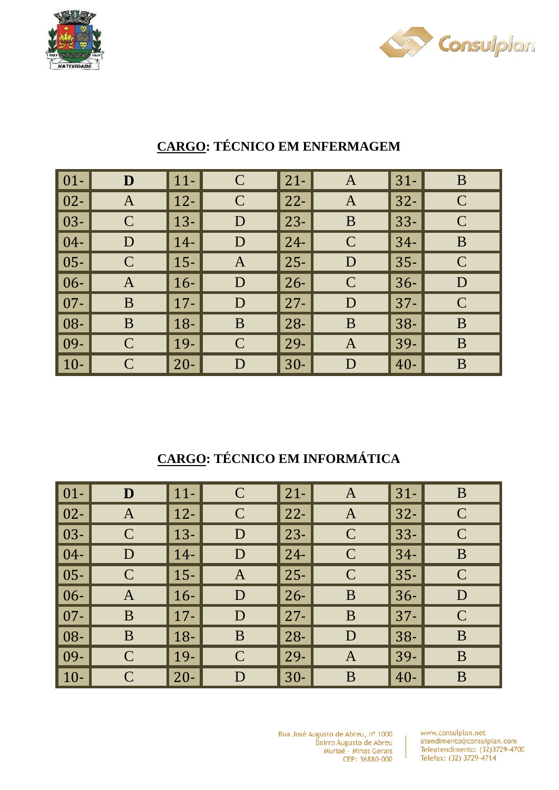



| $\vert 01 -$ | D            | $11 -$ | $\mathbf C$  | $21 -$ | $\mathbf{A}$ | $31-$  | B             |
|--------------|--------------|--------|--------------|--------|--------------|--------|---------------|
| $\vert 02 -$ | $\mathbf{A}$ | $12 -$ | $\mathbf C$  | $22 -$ | $\mathbf{A}$ | $32 -$ | $\mathbf C$   |
| $\vert$ 03-  | $\mathbf C$  | $13 -$ | D            | $23 -$ | B            | $33 -$ | $\mathsf{C}$  |
| $\vert 04-$  | D            | $14-$  | D            | $24 -$ | $\mathsf{C}$ | $34-$  | B             |
| $\vert 05 -$ | $\mathbf C$  | $15 -$ | $\mathbf{A}$ | $25 -$ | D            | $35 -$ | $\mathbf C$   |
| $\vert 06 -$ | A            | $16-$  | D            | $26 -$ | $\mathsf{C}$ | $36-$  | D             |
| $\vert 07 -$ | B            | $17 -$ | D            | $27 -$ | D            | $37 -$ | $\mathcal{C}$ |
| $\vert$ 08-  | B            | $18 -$ | B            | $28 -$ | B            | $38 -$ | B             |
| $\vert$ 09-  | $\mathbf C$  | 19-    | $\mathbf C$  | $29-$  | $\mathbf{A}$ | 39-    | B             |
| $\vert$ 10-  | $\mathbf C$  | $20 -$ | D            | $30-$  | D            | $40 -$ | B             |

## **CARGO: TÉCNICO EM ENFERMAGEM**

## **CARGO: TÉCNICO EM INFORMÁTICA**

| $\vert$ 01-                | D           | $\vert$ 11- | $\mathcal{C}$ | $21 -$ | A             | $31 -$ | B            |
|----------------------------|-------------|-------------|---------------|--------|---------------|--------|--------------|
| $\vert$ 02-                | A           | $12 -$      | $\mathcal{C}$ | $22 -$ | $\bf{A}$      | $32 -$ | $\mathbf C$  |
| $\vert$ 03-                | $\mathbf C$ | $13-$       | D             | $23 -$ | $\mathsf{C}$  | $33 -$ | $\mathsf{C}$ |
| $\vert 04-$                | D           | $14-$       | D             | $24 -$ | $\mathcal{C}$ | $34-$  | B            |
| $\vert$ 05-                | $\mathbf C$ | $15 -$      | $\mathbf{A}$  | $25 -$ | $\mathcal{C}$ | $35 -$ | $\mathsf{C}$ |
| $\vert 06 -$               | A           | $16-$       | D             | $26 -$ | B             | $36-$  | D            |
| $\vert$ 07-                | B           | $\vert$ 17- | D             | $27 -$ | B             | $37 -$ | $\mathbf C$  |
| $\overline{\phantom{1}08}$ | B           | $18-$       | B             | $28 -$ | D             | $38 -$ | B            |
| $\vert$ 09-                | $\mathbf C$ | $\vert$ 19- | $\mathcal{C}$ | 29-    | $\bf{A}$      | 39-    | B            |
| $\vert$ 10-                | $\mathbf C$ | $20 -$      | D             | $30-$  | B             | $40 -$ | B            |

Rua José Augusto de Abreu, nº 1000 Bairro Augusto de Abreu<br>Muriaé - Minas Gerais CEP: 36880-000

 $\overline{1}$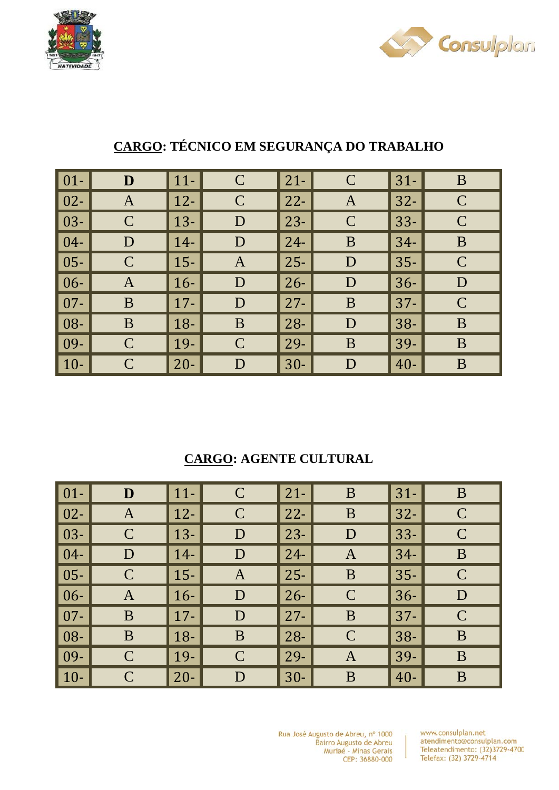



| $\vert 01 -$ | D            | $11-$  | $\mathcal{C}$ | $21 -$ | $\mathsf{C}$  | $31-$  | B            |
|--------------|--------------|--------|---------------|--------|---------------|--------|--------------|
| $\vert$ 02-  | $\mathbf{A}$ | $12-$  | $\mathbf C$   | $22 -$ | $\mathbf{A}$  | $32 -$ | $\mathbf C$  |
| $\vert$ 03-  | $\mathbf C$  | $13 -$ | D             | $23 -$ | $\mathcal{C}$ | $33 -$ | $\mathsf{C}$ |
| $\vert 04-$  | D            | $14-$  | D             | $24 -$ | B             | $34-$  | B            |
| $\vert$ 05-  | $\mathbf C$  | $15 -$ | $\mathbf{A}$  | $25 -$ | D             | $35 -$ | $\mathbf C$  |
| $\vert 06 -$ | A            | $16-$  | D             | $26 -$ | D             | $36 -$ | D            |
| $\vert$ 07-  | B            | $17 -$ | D             | $27 -$ | B             | $37 -$ | $\mathsf{C}$ |
| $\vert$ 08-  | B            | $18-$  | B             | $28 -$ | D             | $38 -$ | B            |
| $\vert$ 09-  | $\mathsf{C}$ | 19-    | $\mathsf{C}$  | $29 -$ | B             | 39-    | B            |
| $\vert$ 10-  | $\mathbf C$  | $20 -$ | D             | $30-$  | D             | $40 -$ | B            |

## **CARGO: TÉCNICO EM SEGURANÇA DO TRABALHO**

### **CARGO: AGENTE CULTURAL**

| $\vert$ 01-         | D            | $\vert$ 11- | $\mathcal{C}$ | $21 -$ | B             | $31-$  | B            |
|---------------------|--------------|-------------|---------------|--------|---------------|--------|--------------|
| $\vert$ 02-         | $\mathbf{A}$ | $12 -$      | $\mathcal{C}$ | $22 -$ | B             | $32 -$ | $\mathbf C$  |
| $\vert$ 03-         | $\mathbf C$  | $\vert$ 13- | D             | $23 -$ | D             | $33 -$ | $\mathsf{C}$ |
| $\vert 04-$         | D            | $14-$       | D             | $24 -$ | A             | $34-$  | B            |
| $\vert$ 05-         | $\mathsf{C}$ | $\vert$ 15- | $\mathbf{A}$  | $25 -$ | B             | $35 -$ | $\mathsf{C}$ |
| $\vert 06 -$        | A            | $16-$       | D             | $26 -$ | $\mathcal{C}$ | $36 -$ | D            |
| $\vert$ 07-         | B            | $17 -$      | D             | $27 -$ | B             | $37 -$ | $\mathbf C$  |
| $\vert$ 08- $\vert$ | B            | $\vert$ 18- | B             | $28 -$ | $\mathcal{C}$ | $38 -$ | B            |
| $ 09-$              | $\mathbf C$  | $\vert$ 19- | $\mathcal{C}$ | 29-    | $\mathbf{A}$  | 39-    | B            |
| $\vert$ 10-         | $\mathbf C$  | $20 -$      | D             | $30-$  | B             | $40 -$ | B            |

Rua José Augusto de Abreu, nº 1000 Bairro Augusto de Abreu<br>Muriaé - Minas Gerais CEP: 36880-000

www.consulplan.net atendimento@consulplan.com Teleatendimento: (32)3729-4700 Telefax: (32) 3729-4714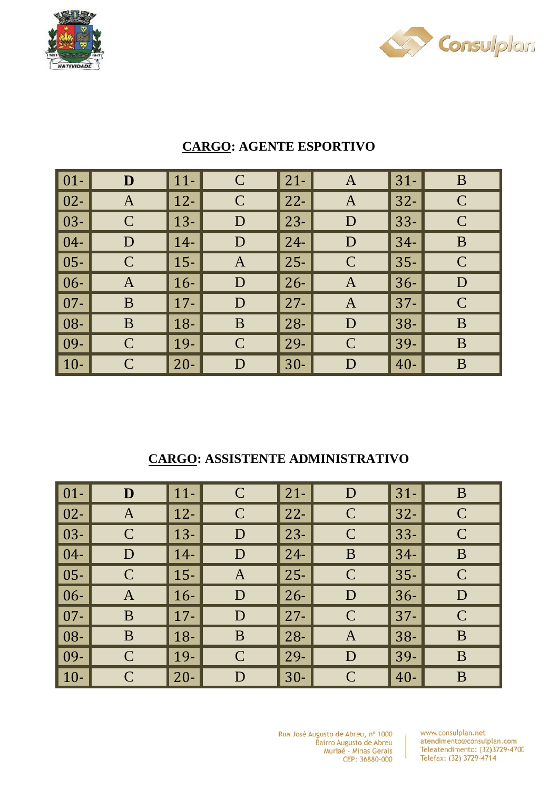



| $\vert 01 -$ | $\mathbf{D}$ | $11-$       | $\mathbf C$   | $21 -$ | A             | $31 -$ | B             |
|--------------|--------------|-------------|---------------|--------|---------------|--------|---------------|
| $\vert$ 02-  | $\mathbf{A}$ | $12-$       | $\mathcal{C}$ | $22 -$ | $\mathbf{A}$  | $32 -$ | $\mathcal{C}$ |
| $\vert$ 03-  | $\mathbf C$  | $\vert$ 13- | D             | $23 -$ | D             | $33 -$ | $\mathbf C$   |
| $\vert$ 04-  | D            | $14-$       | D             | $24-$  | D             | $34-$  | B             |
| $\vert$ 05-  | $\mathbf C$  | $ 15-$      | $\mathbf{A}$  | $25 -$ | $\mathcal{C}$ | $35 -$ | $\mathbf C$   |
| $\vert 06 -$ | A            | $16-$       | D             | $26 -$ | $\mathbf{A}$  | $36-$  | D             |
| $\vert$ 07-  | B            | $\vert$ 17- | D             | $27 -$ | $\mathbf{A}$  | $37 -$ | $\mathbf C$   |
| $\vert$ 08-  | B            | $18 -$      | B             | $28 -$ | D             | $38 -$ | B             |
| $\vert$ 09-  | $\mathbf C$  | $\vert$ 19- | $\mathcal{C}$ | $29 -$ | $\mathcal{C}$ | 39-    | B             |
| $\vert$ 10-  | $\mathsf{C}$ | $20-$       | D             | $30-$  | D             | $40 -$ | B             |

#### **CARGO: AGENTE ESPORTIVO**

#### **CARGO: ASSISTENTE ADMINISTRATIVO**

| $01-$  | D            | $11-$  | $\mathcal{C}$ | $\vert$ 21-  | D             | $31 -$ | B            |
|--------|--------------|--------|---------------|--------------|---------------|--------|--------------|
| $02 -$ | A            | $12 -$ | $\mathcal{C}$ | $\vert$ 22-  | $\mathcal{C}$ | $32 -$ | $\mathsf{C}$ |
| $03 -$ | $\mathbf C$  | $13 -$ | D             | $\vert$ 23-  | $\mathcal{C}$ | $33 -$ | $\mathsf{C}$ |
| $04 -$ | D            | $14-$  | D             | $\vert$ 24-  | B             | $34-$  | $\bf{B}$     |
| $05 -$ | $\mathsf{C}$ | $15 -$ | $\mathbf{A}$  | $\vert 25 -$ | $\mathcal{C}$ | $35 -$ | $\mathsf{C}$ |
| $06 -$ | A            | $16-$  | D             | $\vert$ 26-  | D             | $36 -$ | D            |
| $07 -$ | B            | $17 -$ | D             | $\vert$ 27-  | $\mathcal{C}$ | $37 -$ | $\mathbf C$  |
| 08-    | B            | $18-$  | B             | $\vert$ 28-  | $\mathbf{A}$  | $38 -$ | B            |
| 09-    | $\mathsf{C}$ | $19-$  | $\mathbf C$   | $\vert$ 29-  | D             | 39-    | B            |
| $10-$  | $\mathsf{C}$ | $20 -$ | D             | $\vert$ 30-  | $\mathcal{C}$ | $40 -$ | B            |

Rua José Augusto de Abreu, nº 1000 Bairro Augusto de Abreu<br>Muriaé - Minas Gerais CEP: 36880-000

www.consulplan.net atendimento@consulplan.com Teleatendimento: (32)3729-4700 Telefax: (32) 3729-4714

 $\overline{1}$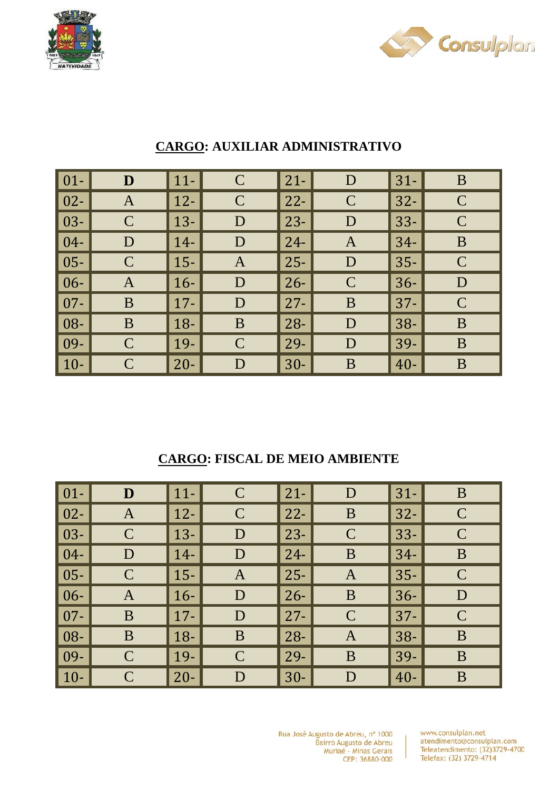



| $\vert 01 -$ | D            | $11-$  | $\mathsf{C}$  | $21 -$ | D             | $31-$  | B             |
|--------------|--------------|--------|---------------|--------|---------------|--------|---------------|
| $\vert 02 -$ | $\mathbf{A}$ | $12 -$ | $\mathbf C$   | $22 -$ | $\mathbf C$   | $32 -$ | $\mathbf C$   |
| $\vert$ 03-  | $\mathbf C$  | $13 -$ | D             | $23 -$ | D             | $33 -$ | $\mathcal{C}$ |
| $\vert 04-$  | D            | $14-$  | D             | $24-$  | $\mathbf{A}$  | $34-$  | B             |
| $\vert 05 -$ | $\mathbf C$  | $15-$  | $\mathbf{A}$  | $25 -$ | D             | $35 -$ | $\mathbf C$   |
| $\vert 06 -$ | A            | $16-$  | D             | $26 -$ | $\mathcal{C}$ | $36 -$ | D             |
| $\vert$ 07-  | B            | $17 -$ | D             | $27 -$ | B             | $37 -$ | $\mathcal{C}$ |
| $\vert$ 08-  | B            | $18-$  | B             | $28 -$ | D             | $38 -$ | B             |
| $\vert$ 09-  | $\mathbf C$  | 19-    | $\mathcal{C}$ | $29-$  | D             | 39-    | B             |
| $\vert$ 10-  | $\mathsf{C}$ | $20 -$ | D             | $30-$  | B             | $40 -$ | B             |

#### **CARGO: AUXILIAR ADMINISTRATIVO**

#### **CARGO: FISCAL DE MEIO AMBIENTE**

| $01 -$ | D            | $11-$  | $\mathcal{C}$ | $\vert$ 21- | D             | $31-$  | $\bf{B}$     |
|--------|--------------|--------|---------------|-------------|---------------|--------|--------------|
| $02 -$ | A            | $12-$  | $\mathsf{C}$  | $\vert$ 22- | B             | $32 -$ | $\mathbf C$  |
| $03 -$ | $\mathsf{C}$ | $13 -$ | D             | $ 23-$      | $\mathcal{C}$ | $33 -$ | $\mathsf{C}$ |
| $04 -$ | D            | $14-$  | D             | $\vert$ 24- | B             | $34-$  | B            |
| $05 -$ | $\mathsf{C}$ | $15-$  | $\mathbf{A}$  | $\vert$ 25- | $\mathbf{A}$  | $35 -$ | $\mathbf C$  |
| $06 -$ | A            | $16-$  | D             | $\vert$ 26- | B             | $36 -$ | D            |
| $07 -$ | B            | $17 -$ | D             | $\vert$ 27- | $\mathcal{C}$ | $37 -$ | $\mathsf{C}$ |
| 08-    | B            | $18-$  | $\bf{B}$      | $\vert$ 28- | $\mathbf{A}$  | $38 -$ | B            |
| 09-    | $\mathsf{C}$ | 19-    | $\mathbf C$   | $\vert$ 29- | B             | 39-    | B            |
| $10-$  | $\mathsf{C}$ | $20 -$ | D             | $\vert$ 30- | D             | $40 -$ | B            |

Rua José Augusto de Abreu, nº 1000 Bairro Augusto de Abreu<br>Muriaé - Minas Gerais CEP: 36880-000

www.consulplan.net atendimento@consulplan.com Teleatendimento: (32)3729-4700 Telefax: (32) 3729-4714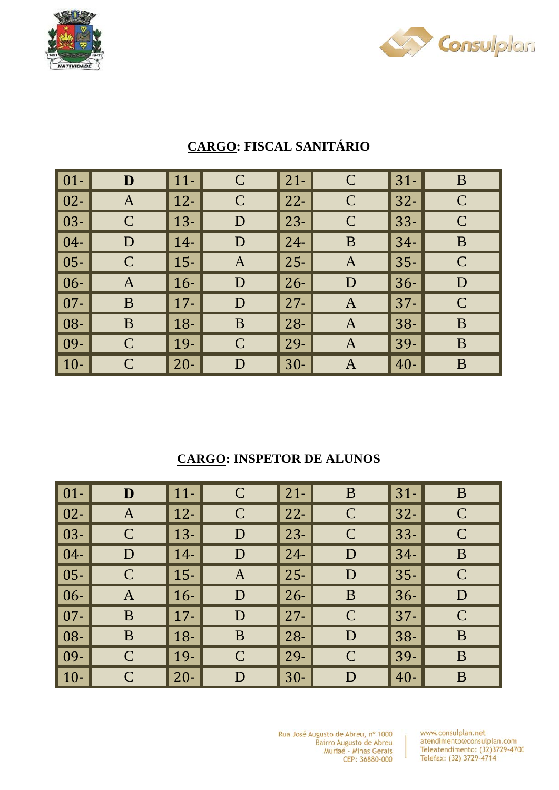



| $\vert$ 01-  | D            | $11-$  | $\mathbf C$  | $21 -$ | $\mathbf C$   | $31-$  | B            |
|--------------|--------------|--------|--------------|--------|---------------|--------|--------------|
| $\vert$ 02-  | A            | $12-$  | $\mathsf{C}$ | $22 -$ | $\mathcal{C}$ | $32 -$ | $\mathsf{C}$ |
| $\vert$ 03-  | $\mathbf C$  | $13 -$ | D            | $23 -$ | $\mathcal{C}$ | $33 -$ | $\mathsf{C}$ |
| $\vert$ 04-  | D            | $14-$  | D            | $24-$  | B             | $34-$  | B            |
| $\vert$ 05-  | $\mathbf C$  | $ 15-$ | $\mathbf{A}$ | $25 -$ | $\mathbf{A}$  | $35 -$ | $\mathsf{C}$ |
| $\vert 06 -$ | A            | $16-$  | D            | $26 -$ | D             | $36 -$ | D            |
| $\vert$ 07-  | B            | $17 -$ | D            | $27 -$ | $\mathbf{A}$  | $37 -$ | $\mathsf{C}$ |
| $\vert$ 08-  | B            | $18-$  | B            | $28 -$ | $\mathbf{A}$  | $38 -$ | B            |
| $\vert$ 09-  | $\mathsf{C}$ | 19-    | $\mathsf{C}$ | $29-$  | A             | 39-    | B            |
| $\vert$ 10-  | $\mathbf C$  | $20 -$ | D            | $30-$  | A             | $40 -$ | B            |

# **CARGO: FISCAL SANITÁRIO**

### **CARGO: INSPETOR DE ALUNOS**

| $\vert$ 01-  | D            | $\vert$ 11- | $\mathcal{C}$ | $21 -$ | B             | $31 -$ | B             |
|--------------|--------------|-------------|---------------|--------|---------------|--------|---------------|
| $\vert$ 02-  | A            | $\vert$ 12- | $\mathcal{C}$ | $22 -$ | $\mathsf{C}$  | $32 -$ | $\mathbf C$   |
| $\vert$ 03-  | $\mathbf C$  | $\vert$ 13- | D             | $23 -$ | $\mathbf C$   | $33 -$ | $\mathcal{C}$ |
| $\vert$ 04-  | D            | $14-$       | D             | $24 -$ | D             | $34-$  | B             |
| $\vert$ 05-  | $\mathsf{C}$ | $\vert$ 15- | $\mathbf{A}$  | $25 -$ | D             | $35 -$ | $\mathsf{C}$  |
| $\vert 06 -$ | $\mathbf{A}$ | $\vert$ 16- | D             | $26 -$ | B             | $36 -$ | D             |
| $\vert$ 07-  | B            | $\vert$ 17- | D             | $27 -$ | $\mathcal{C}$ | $37 -$ | $\mathbf C$   |
| $ 08-$       | B            | $\vert$ 18- | B             | $28 -$ | D             | $38 -$ | B             |
| $ 09-$       | $\mathbf C$  | $\vert$ 19- | $\mathcal{C}$ | $29-$  | $\mathbf C$   | $39-$  | B             |
| $\vert$ 10-  | $\mathbf C$  | $20 -$      | D             | $30-$  | D             | $40 -$ | B             |

Rua José Augusto de Abreu, nº 1000 Bairro Augusto de Abreu<br>Muriaé - Minas Gerais CEP: 36880-000

www.consulplan.net atendimento@consulplan.com Teleatendimento: (32)3729-4700 Telefax: (32) 3729-4714

Ť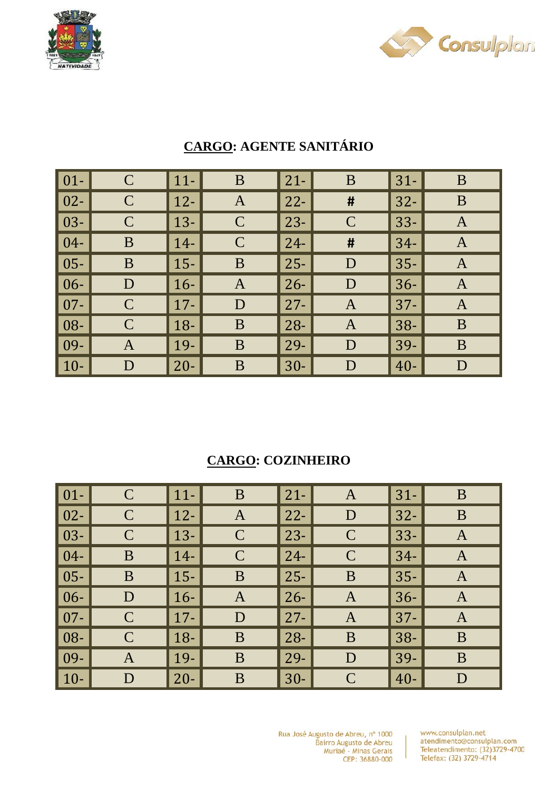



| $\vert 01 -$ | $\mathsf C$ | $11-$       | B             | $21 -$ | B            | $31 -$ | B            |
|--------------|-------------|-------------|---------------|--------|--------------|--------|--------------|
| $\vert$ 02-  | $\mathbf C$ | $12-$       | A             | $22 -$ | #            | $32 -$ | B            |
| $\vert$ 03-  | $\mathbf C$ | $13 -$      | $\mathcal{C}$ | $23 -$ | $\mathsf{C}$ | $33 -$ | $\mathbf{A}$ |
| $\vert$ 04-  | B           | $14-$       | $\mathbf C$   | $24 -$ | #            | $34-$  | $\mathbf{A}$ |
| $\vert$ 05-  | B           | $15-$       | B             | $25 -$ | D            | $35 -$ | $\mathbf{A}$ |
| $\vert 06 -$ | D           | $16-$       | A             | $26 -$ | D            | $36 -$ | $\mathbf{A}$ |
| $\vert$ 07-  | $\mathbf C$ | $\vert$ 17- | D             | $27 -$ | $\mathbf{A}$ | $37 -$ | $\mathbf{A}$ |
| $\vert$ 08-  | $\mathbf C$ | $18-$       | B             | $28 -$ | $\mathbf{A}$ | $38 -$ | B            |
| $\vert$ 09-  | A           | $19-$       | B             | $29-$  | D            | $39-$  | B            |
| $\vert$ 10-  | D           | $20 -$      | B             | $30 -$ | D            | $40 -$ | D            |

# **CARGO: AGENTE SANITÁRIO**

### **CARGO: COZINHEIRO**

| $01 -$ | $\mathbf C$  | $\vert$ 11- | B             | $21 -$ | A             | $31 -$ | B            |
|--------|--------------|-------------|---------------|--------|---------------|--------|--------------|
| $02 -$ | $\mathsf{C}$ | $12 -$      | $\mathbf{A}$  | $22 -$ | D             | $32 -$ | B            |
| 03-    | $\mathsf{C}$ | $\vert$ 13- | $\mathbf C$   | $23 -$ | $\mathbf C$   | $33 -$ | $\mathbf{A}$ |
| $04 -$ | B            | $14-$       | $\mathcal{C}$ | $24 -$ | $\mathcal{C}$ | $34-$  | A            |
| $05 -$ | B            | $\vert$ 15- | B             | $25 -$ | B             | $35 -$ | A            |
| $06 -$ | D            | $16-$       | $\mathbf{A}$  | $26 -$ | $\mathbf{A}$  | $36 -$ | $\mathbf{A}$ |
| $07 -$ | $\mathsf{C}$ | $17 -$      | D             | $27 -$ | A             | $37 -$ | A            |
| 08-    | $\mathsf{C}$ | $\vert$ 18- | B             | $28 -$ | B             | $38 -$ | B            |
| 09-    | A            | $\vert$ 19- | B             | 29-    | D             | 39-    | B            |
| $10-$  | D            | $20 -$      | B             | $30-$  | $\mathcal{C}$ | $40 -$ | D            |

Rua José Augusto de Abreu, nº 1000 Bairro Augusto de Abreu<br>Muriaé - Minas Gerais CEP: 36880-000

www.consulplan.net atendimento@consulplan.com Teleatendimento: (32)3729-4700 Telefax: (32) 3729-4714

 $\overline{1}$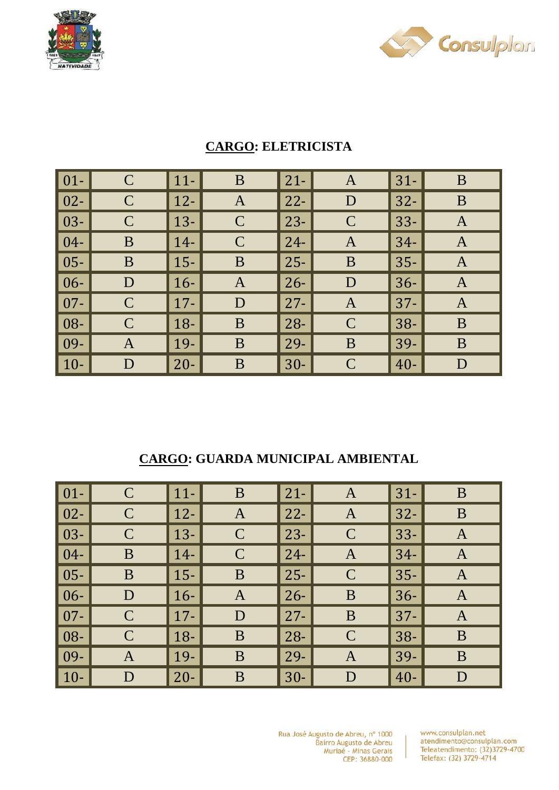



| $\vert 01 -$ | $\mathsf C$  | $11-$       | $\bf{B}$      | $21 -$ | A             | $31 -$ | B              |
|--------------|--------------|-------------|---------------|--------|---------------|--------|----------------|
| $\vert 02 -$ | $\mathbf C$  | $\vert$ 12- | $\mathbf{A}$  | $22 -$ | D             | $32 -$ | B              |
| $\vert$ 03-  | $\mathsf{C}$ | $\vert$ 13- | $\mathcal{C}$ | $23 -$ | $\mathsf{C}$  | $33 -$ | $\mathbf{A}$   |
| $\boxed{04}$ | B            | $14-$       | $\mathbf C$   | $24 -$ | $\mathbf{A}$  | $34-$  | $\overline{A}$ |
| $\vert$ 05-  | B            | $15-$       | B             | $25 -$ | B             | $35 -$ | $\mathbf{A}$   |
| $\vert 06 -$ | D            | $16-$       | A             | $26 -$ | D             | $36 -$ | $\mathbf{A}$   |
| $\vert 07 -$ | $\mathsf{C}$ | $\vert$ 17- | D             | $27 -$ | A             | $37 -$ | A              |
| $\vert 08 -$ | $\mathbf C$  | $\vert$ 18- | B             | $28 -$ | $\mathbf C$   | $38 -$ | B              |
| $\vert$ 09-  | A            | $\vert$ 19- | B             | 29-    | B             | 39-    | B              |
| $\vert$ 10-  | D            | $20 -$      | B             | $30-$  | $\mathcal{C}$ | $40 -$ | D              |

### **CARGO: ELETRICISTA**

#### **CARGO: GUARDA MUNICIPAL AMBIENTAL**

| $\vert$ 01- $\vert$ | $\mathbf C$   | $\vert$ 11- | B             | $\vert$ 21-  | $\bf{A}$      | $31 -$ | B            |
|---------------------|---------------|-------------|---------------|--------------|---------------|--------|--------------|
| $\vert$ 02-         | $\mathbf C$   | $\vert$ 12- | $\mathbf{A}$  | $\vert$ 22-  | $\mathbf{A}$  | $32-$  | B            |
| $\vert$ 03-         | $\mathsf{C}$  | $\vert$ 13- | $\mathsf{C}$  | $\vert$ 23-  | $\mathsf{C}$  | $33 -$ | $\mathbf{A}$ |
| $\sqrt{04}$         | B             | $\vert$ 14- | $\mathcal{C}$ | $\vert$ 24-  | A             | $34-$  | $\mathbf{A}$ |
| $\vert$ 05-         | B             | $\vert$ 15- | B             | $\vert$ 25-  | $\mathcal{C}$ | $35 -$ | A            |
| $\vert 06 -$        | D             | $16-$       | A             | $\vert 26 -$ | B             | $36 -$ | $\mathbf{A}$ |
| $\vert$ 07-         | $\mathbf C$   | $\vert$ 17- | D             | $\vert$ 27-  | B             | $37 -$ | A            |
| $\vert 08 -$        | $\mathcal{C}$ | $\vert$ 18- | B             | $\vert$ 28-  | $\mathcal{C}$ | $38 -$ | B            |
| $\vert$ 09-         | A             | $\vert$ 19- | B             | $\vert$ 29-  | A             | 39-    | B            |
| $\vert$ 10-         | D             | $20 -$      | B             | $\vert$ 30-  | D             | $40 -$ | D            |

Rua José Augusto de Abreu, nº 1000 Bairro Augusto de Abreu<br>Muriaé - Minas Gerais CEP: 36880-000

www.consulplan.net atendimento@consulplan.com Teleatendimento: (32)3729-4700 Telefax: (32) 3729-4714

 $\overline{1}$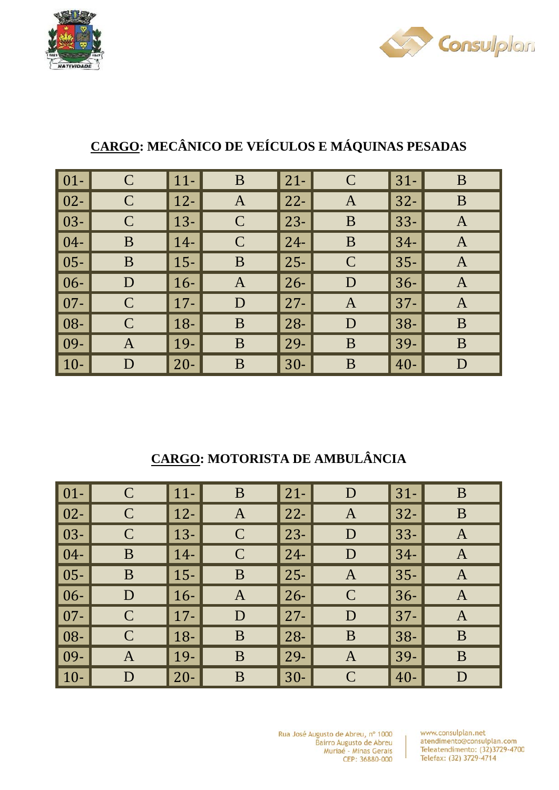



| $\vert$ 01-  | $\mathbf C$  | $11-$  | B             | $21 -$ | $\mathcal{C}$ | $31 -$ | B            |
|--------------|--------------|--------|---------------|--------|---------------|--------|--------------|
| $\vert$ 02-  | $\mathbf C$  | $12-$  | $\mathbf{A}$  | $22 -$ | $\mathbf{A}$  | $32 -$ | B            |
| $\vert$ 03-  | $\mathbf C$  | $13 -$ | $\mathcal{C}$ | $23 -$ | B             | $33 -$ | $\mathbf{A}$ |
| $\vert 04-$  | B            | $14-$  | $\mathcal{C}$ | $24 -$ | B             | $34-$  | $\mathbf{A}$ |
| $\vert$ 05-  | B            | $15 -$ | B             | $25 -$ | $\mathcal{C}$ | $35 -$ | $\mathbf{A}$ |
| $\vert 06 -$ | D            | $16-$  | $\mathbf{A}$  | $26 -$ | D             | $36-$  | $\mathbf{A}$ |
| $\vert$ 07-  | $\mathbf C$  | $17 -$ | D             | $27 -$ | $\mathbf{A}$  | $37 -$ | $\mathbf{A}$ |
| $\vert$ 08-  | $\mathsf{C}$ | $18 -$ | B             | $28 -$ | D             | $38 -$ | B            |
| $\vert$ 09-  | $\mathbf{A}$ | 19-    | B             | $29-$  | B             | 39-    | B            |
| $\vert$ 10-  | D            | $20 -$ | B             | $30-$  | B             | $40 -$ | D            |

# **CARGO: MECÂNICO DE VEÍCULOS E MÁQUINAS PESADAS**

### **CARGO: MOTORISTA DE AMBULÂNCIA**

| $01 -$ | $\mathsf{C}$ | $11-$  | B             | $\vert$ 21- | D             | $31-$  | B            |
|--------|--------------|--------|---------------|-------------|---------------|--------|--------------|
| $02 -$ | $\mathbf C$  | $12-$  | $\mathbf{A}$  | $\vert$ 22- | $\mathbf{A}$  | $32 -$ | $\bf{B}$     |
| $03 -$ | $\mathsf C$  | $13 -$ | $\mathbf C$   | $\vert$ 23- | D             | $33 -$ | A            |
| $04 -$ | B            | $14-$  | $\mathcal{C}$ | $\vert$ 24- | D             | $34-$  | $\mathbf{A}$ |
| $05 -$ | B            | $15-$  | B             | $\vert$ 25- | A             | $35 -$ | A            |
| $06 -$ | D            | $16-$  | A             | $\vert$ 26- | $\mathcal{C}$ | $36 -$ | $\mathbf{A}$ |
| $07 -$ | $\mathsf{C}$ | $17 -$ | D             | $\vert$ 27- | D             | $37 -$ | A            |
| 08-    | $\mathsf{C}$ | $18-$  | B             | $\vert$ 28- | B             | $38 -$ | B            |
| 09-    | A            | 19-    | B             | $\vert$ 29- | $\mathbf{A}$  | 39-    | B            |
| $10-$  | D            | $20 -$ | B             | $\vert$ 30- | $\mathcal{C}$ | $40 -$ | D            |

Rua José Augusto de Abreu, nº 1000 Bairro Augusto de Abreu Muriaé - Minas Gerais CEP: 36880-000

www.consulplan.net atendimento@consulplan.com Teleatendimento: (32)3729-4700 Telefax: (32) 3729-4714

 $\mathbf{I}$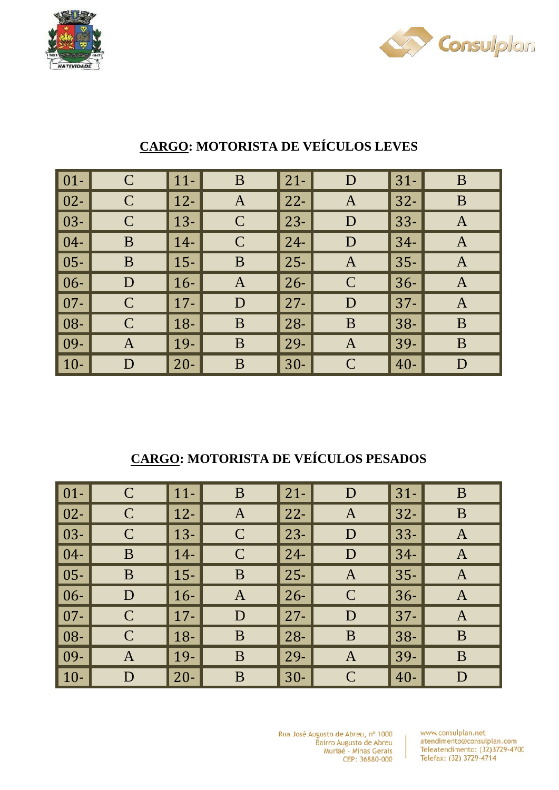



| $\vert 01 -$ | $\mathsf{C}$ | $\vert$ 11- | $\bf{B}$      | $21 -$ | D             | $31 -$ | B            |
|--------------|--------------|-------------|---------------|--------|---------------|--------|--------------|
| $\vert$ 02-  | $\mathbf C$  | $\vert$ 12- | $\mathbf{A}$  | $22 -$ | $\mathbf{A}$  | $32 -$ | B            |
| $\vert 03 -$ | $\mathbf C$  | $\vert$ 13- | $\mathcal{C}$ | $23 -$ | D             | $33 -$ | $\mathbf{A}$ |
| $\mid$ 04-   | B            | $\vert$ 14- | $\mathcal{C}$ | $24 -$ | D             | $34-$  | $\mathbf{A}$ |
| $\vert$ 05-  | B            | $\vert$ 15- | B             | $25 -$ | $\mathbf{A}$  | $35 -$ | $\mathbf{A}$ |
| $\mid$ 06-   | $\mathbf D$  | $\vert$ 16- | A             | $26 -$ | $\mathcal{C}$ | $36 -$ | A            |
| $\vert$ 07-  | $\mathsf{C}$ | $\vert$ 17- | D             | $27 -$ | D             | $37 -$ | $\mathbf{A}$ |
| $\mid$ 08-   | $\mathsf{C}$ | $\vert$ 18- | B             | $28 -$ | B             | $38 -$ | B            |
| $\mid$ 09-   | $\mathbf A$  | $\vert$ 19- | B             | $29-$  | $\mathbf A$   | 39-    | B            |
| $\vert$ 10-  | D            | $\vert$ 20- | B             | $30-$  | $\mathcal{C}$ | $40 -$ | D            |

## **CARGO: MOTORISTA DE VEÍCULOS LEVES**

### **CARGO: MOTORISTA DE VEÍCULOS PESADOS**

| $\vert$ 01- $\vert$ | $\mathbf C$  | $\vert$ 11- | B             | $21 -$ | D             | $31-$  | B            |
|---------------------|--------------|-------------|---------------|--------|---------------|--------|--------------|
| $\vert$ 02-         | $\mathbf C$  | $\vert$ 12- | $\mathbf{A}$  | $22 -$ | A             | $32 -$ | B            |
| $\vert$ 03-         | $\mathsf{C}$ | $13-$       | $\mathcal{C}$ | $23 -$ | D             | $33 -$ | A            |
| $\vert 04-$         | B            | $14-$       | $\mathcal{C}$ | $24 -$ | D             | $34-$  | A            |
| $\vert$ 05-         | B            | $15 -$      | B             | $25 -$ | A             | $35 -$ | A            |
| $\vert 06 -$        | D            | $16-$       | $\mathbf{A}$  | $26 -$ | $\mathcal{C}$ | $36 -$ | $\mathbf{A}$ |
| $\vert$ 07-         | $\mathbf C$  | $\vert$ 17- | D             | $27 -$ | D             | $37 -$ | A            |
| $\vert 08 -$        | $\mathsf{C}$ | $\vert$ 18- | B             | $28 -$ | B             | $38 -$ | B            |
| $\vert$ 09-         | A            | $\vert$ 19- | B             | 29-    | $\mathbf{A}$  | 39-    | B            |
| $\vert$ 10-         | D            | $20 -$      | B             | $30-$  | $\mathcal{C}$ | $40 -$ | D            |

Rua José Augusto de Abreu, nº 1000 Bairro Augusto de Abreu Muriaé - Minas Gerais CEP: 36880-000

www.consulplan.net atendimento@consulplan.com Teleatendimento: (32)3729-4700 Telefax: (32) 3729-4714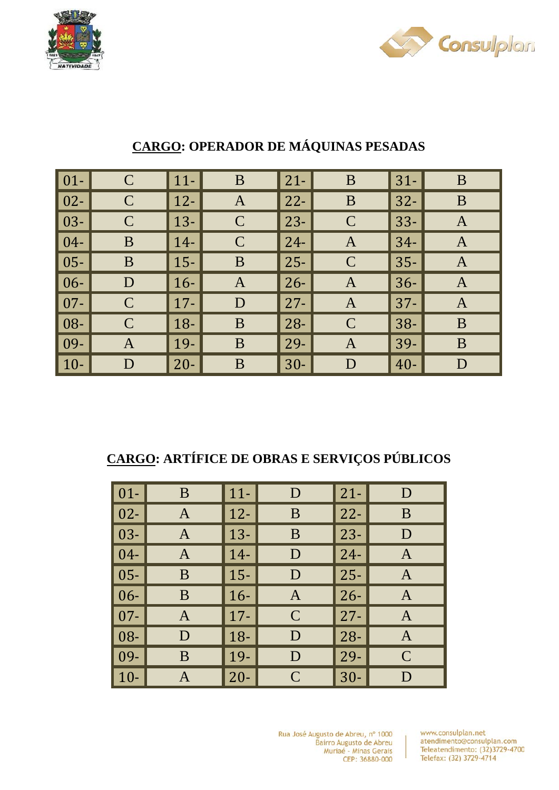



| $\vert 01 -$ | $\mathsf{C}$  | $\vert$ 11- | $\bf{B}$      | $21 -$ | B             | $31 -$ | B            |
|--------------|---------------|-------------|---------------|--------|---------------|--------|--------------|
| $\vert$ 02-  | $\mathbf C$   | $\vert$ 12- | $\mathbf{A}$  | $22 -$ | B             | $32 -$ | B            |
| $\mid$ 03-   | $\mathbf C$   | $\vert$ 13- | $\mathcal{C}$ | $23 -$ | $\mathcal{C}$ | $33 -$ | $\mathbf{A}$ |
| $\vert 04 -$ | B             | $\vert$ 14- | $\mathcal{C}$ | $24 -$ | $\mathbf{A}$  | $34-$  | $\mathbf{A}$ |
| $\mid$ 05-   | B             | $\vert$ 15- | B             | $25 -$ | $\mathsf{C}$  | $35 -$ | $\mathbf{A}$ |
| $\vert 06 -$ | D             | $\vert$ 16- | A             | $26 -$ | A             | $36-$  | $\mathbf{A}$ |
| $\vert$ 07-  | $\mathbf C$   | $\vert$ 17- | D             | $27 -$ | $\mathbf{A}$  | $37 -$ | $\mathbf{A}$ |
| $\mid$ 08-   | $\mathcal{C}$ | $\vert$ 18- | B             | $28 -$ | $\mathcal{C}$ | $38 -$ | B            |
| $\mid$ 09-   | A             | $\vert$ 19- | B             | $29-$  | $\mathbf{A}$  | 39-    | B            |
| $\vert$ 10-  | D             | $\vert$ 20- | B             | $30-$  | D             | $40 -$ | D            |

## **CARGO: OPERADOR DE MÁQUINAS PESADAS**

### **CARGO: ARTÍFICE DE OBRAS E SERVIÇOS PÚBLICOS**

| $01 -$ | B | $11-$  | D             | $21 -$ | D             |
|--------|---|--------|---------------|--------|---------------|
| $02 -$ | A | $12-$  | B             | $22 -$ | B             |
| $03 -$ | A | $13 -$ | B             | $23-$  | D             |
| $04 -$ | A | $14-$  | D             | $24-$  | A             |
| $05 -$ | B | $15 -$ | D             | $25 -$ | A             |
| $06 -$ | B | $16-$  | A             | $26 -$ | A             |
| $07 -$ | A | $17 -$ | $\mathcal{C}$ | $27 -$ | A             |
| 08-    | D | $18 -$ | D             | $28 -$ | A             |
| 09-    | B | 19-    | D             | $29 -$ | $\mathcal{C}$ |
| $10-$  | A | $20 -$ | $\mathcal{C}$ | $30 -$ | $\mathsf{D}$  |

Rua José Augusto de Abreu, nº 1000 Bairro Augusto de Abreu Muriaé - Minas Gerais CEP: 36880-000

www.consulplan.net atendimento@consulplan.com Teleatendimento: (32)3729-4700 Telefax: (32) 3729-4714

 $\overline{1}$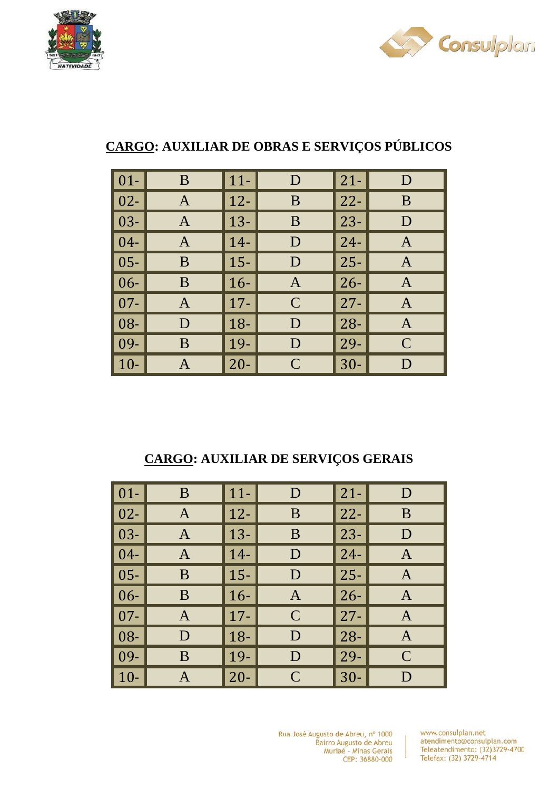



## **CARGO: AUXILIAR DE OBRAS E SERVIÇOS PÚBLICOS**

| $\vert 01 -$ | B | $11-$  | D             | $21 -$ | D            |
|--------------|---|--------|---------------|--------|--------------|
| $\vert$ 02-  | A | $12 -$ | B             | $22 -$ | B            |
| $\vert$ 03-  | A | $13 -$ | B             | $23 -$ | D            |
| $\vert 04-$  | A | $14-$  | D             | $24 -$ | A            |
| $\vert$ 05-  | B | $15 -$ | D             | $25 -$ | A            |
| $\vert 06 -$ | B | $16-$  | A             | $26 -$ | $\mathbf{A}$ |
| $\vert 07 -$ | A | $17 -$ | $\mathcal{C}$ | $27 -$ | A            |
| $\vert$ 08-  | D | $18-$  | D             | $28 -$ | $\mathbf{A}$ |
| $\vert$ 09-  | B | 19-    | D             | $29 -$ | $\mathbf C$  |
| $\vert$ 10-  |   | $20 -$ | $\mathcal{C}$ | $30 -$ | D            |

### **CARGO: AUXILIAR DE SERVIÇOS GERAIS**

| $\vert 01 -$ | B | $11-$  | D             | $21-$       | D             |
|--------------|---|--------|---------------|-------------|---------------|
| $\vert$ 02-  | A | $12-$  | B             | $22 -$      | B             |
| $\vert$ 03-  |   | $13 -$ | B             | $ 23-$      | D             |
| $\vert 04-$  | A | $14-$  | D             | $24-$       | A             |
| $\vert$ 05-  | B | $15 -$ | D             | $25-$       | A             |
| $\vert 06 -$ | B | $16-$  | Α             | $ 26-$      | A             |
| $\vert 07 -$ | A | $17 -$ | $\mathcal{C}$ | $27-$       | A             |
| $\vert 08 -$ | D | $18-$  | D             | $\vert$ 28- | A             |
| $\vert$ 09-  | B | $19 -$ | D             | $29-$       | $\mathcal{C}$ |
| $\vert$ 10-  |   | $20 -$ | $\mathcal{C}$ | $30 -$      | D             |

Rua José Augusto de Abreu, nº 1000 Bairro Augusto de Abreu Muriaé - Minas Gerais CEP: 36880-000

www.consulplan.net atendimento@consulplan.com Teleatendimento: (32)3729-4700 Telefax: (32) 3729-4714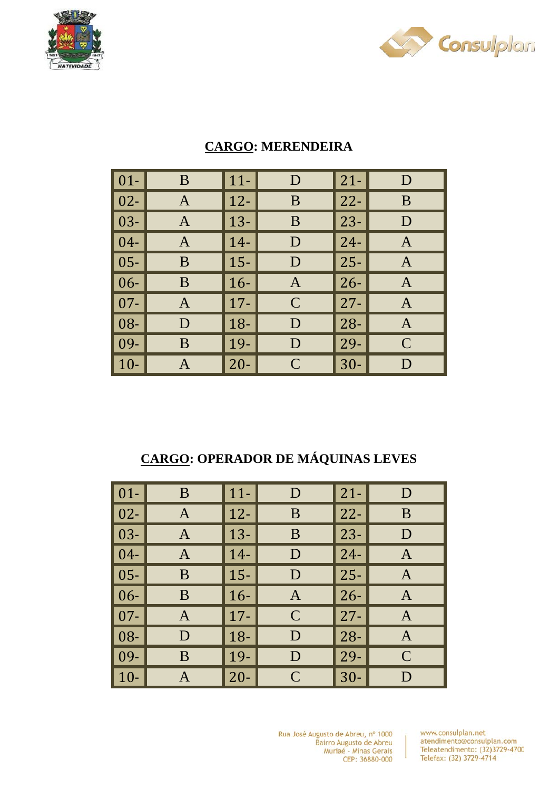



| $\boxed{01}$ | B | $11-$  | D              | $21 -$      | D            |
|--------------|---|--------|----------------|-------------|--------------|
| $\vert$ 02-  | A | $12 -$ | B              | $22 -$      | B            |
| $\vert$ 03-  | A | $13 -$ | B              | $23 -$      | D            |
| $\vert$ 04-  | A | $14-$  | D              | $24-$       | $\mathbf A$  |
| $\vert$ 05-  | B | $15 -$ | D              | $25-$       | A            |
| $\vert 06 -$ | B | $16-$  | $\overline{A}$ | $26-$       | $\mathbf{A}$ |
| $\vert 07 -$ | A | $17 -$ | $\mathcal{C}$  | $27-$       | A            |
| $\vert$ 08-  | D | $18 -$ | D              | $\vert$ 28- | $\mathbf{A}$ |
| $\vert$ 09-  | B | $19-$  | D              | $29-$       | $\mathbf C$  |
| $\vert$ 10-  | A | $20 -$ | $\mathcal{C}$  | $ 30-$      | D            |

#### **CARGO: MERENDEIRA**

## **CARGO: OPERADOR DE MÁQUINAS LEVES**

| $\vert 01 -$ | B | $11-$  | D             | $21-$       | D             |
|--------------|---|--------|---------------|-------------|---------------|
| $\vert$ 02-  | A | $12-$  | B             | $22 -$      | B             |
| $\vert$ 03-  |   | $13 -$ | B             | $ 23-$      | D             |
| $\vert 04-$  | A | $14-$  | D             | $24-$       | A             |
| $\vert$ 05-  | B | $15 -$ | D             | $25-$       | A             |
| $\vert 06 -$ | B | $16-$  | Α             | $ 26-$      | A             |
| $\vert 07 -$ | A | $17 -$ | $\mathcal{C}$ | $27-$       | A             |
| $\vert 08 -$ | D | $18-$  | D             | $\vert$ 28- | A             |
| $\vert$ 09-  | B | $19 -$ | D             | $29-$       | $\mathcal{C}$ |
| $\vert$ 10-  |   | $20 -$ | $\mathcal{C}$ | $30 -$      | D             |

Rua José Augusto de Abreu, nº 1000 Bairro Augusto de Abreu<br>Muriaé - Minas Gerais CEP: 36880-000

Ť